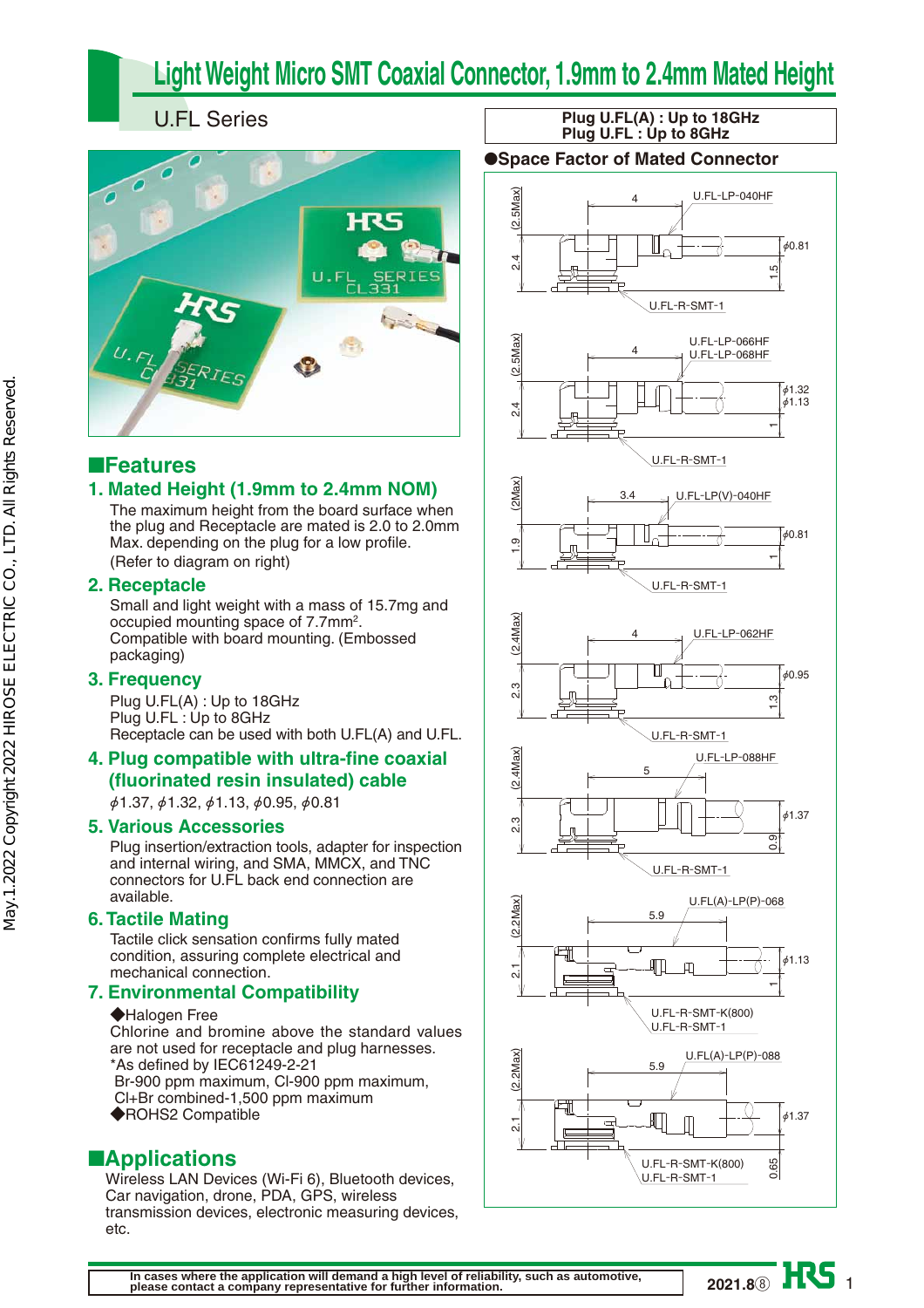# **Light Weight Micro SMT Coaxial Connector, 1.9mm to 2.4mm Mated Height**

## U.FL Series



## ■**Features**

## **1. Mated Height (1.9mm to 2.4mm NOM)**

The maximum height from the board surface when the plug and Receptacle are mated is 2.0 to 2.0mm Max. depending on the plug for a low profile. (Refer to diagram on right)

### **2. Receptacle**

Small and light weight with a mass of 15.7mg and occupied mounting space of 7.7mm2. Compatible with board mounting. (Embossed packaging)

## **3. Frequency**

Plug U.FL(A) : Up to 18GHz Plug U.FL : Up to 8GHz Receptacle can be used with both U.FL(A) and U.FL.

## **4. Plug compatible with ultra-fine coaxial (fluorinated resin insulated) cable**

 $\phi$ 1.37,  $\phi$ 1.32,  $\phi$ 1.13,  $\phi$ 0.95,  $\phi$ 0.81

### **5. Various Accessories**

Plug insertion/extraction tools, adapter for inspection and internal wiring, and SMA, MMCX, and TNC connectors for U.FL back end connection are available.

## **6. Tactile Mating**

Tactile click sensation confirms fully mated condition, assuring complete electrical and mechanical connection.

## **7. Environmental Compatibility**

#### ◆Halogen Free

Chlorine and bromine above the standard values are not used for receptacle and plug harnesses. \*As defined by IEC61249-2-21

- Br-900 ppm maximum, Cl-900 ppm maximum, Cl+Br combined-1,500 ppm maximum
- ◆ROHS2 Compatible

## ■**Applications**

Wireless LAN Devices (Wi-Fi 6), Bluetooth devices, Car navigation, drone, PDA, GPS, wireless transmission devices, electronic measuring devices, etc.

### **Plug U.FL(A) : Up to 18GHz Plug U.FL : Up to 8GHz**

### ●**Space Factor of Mated Connector**



1 **2021.8**⑧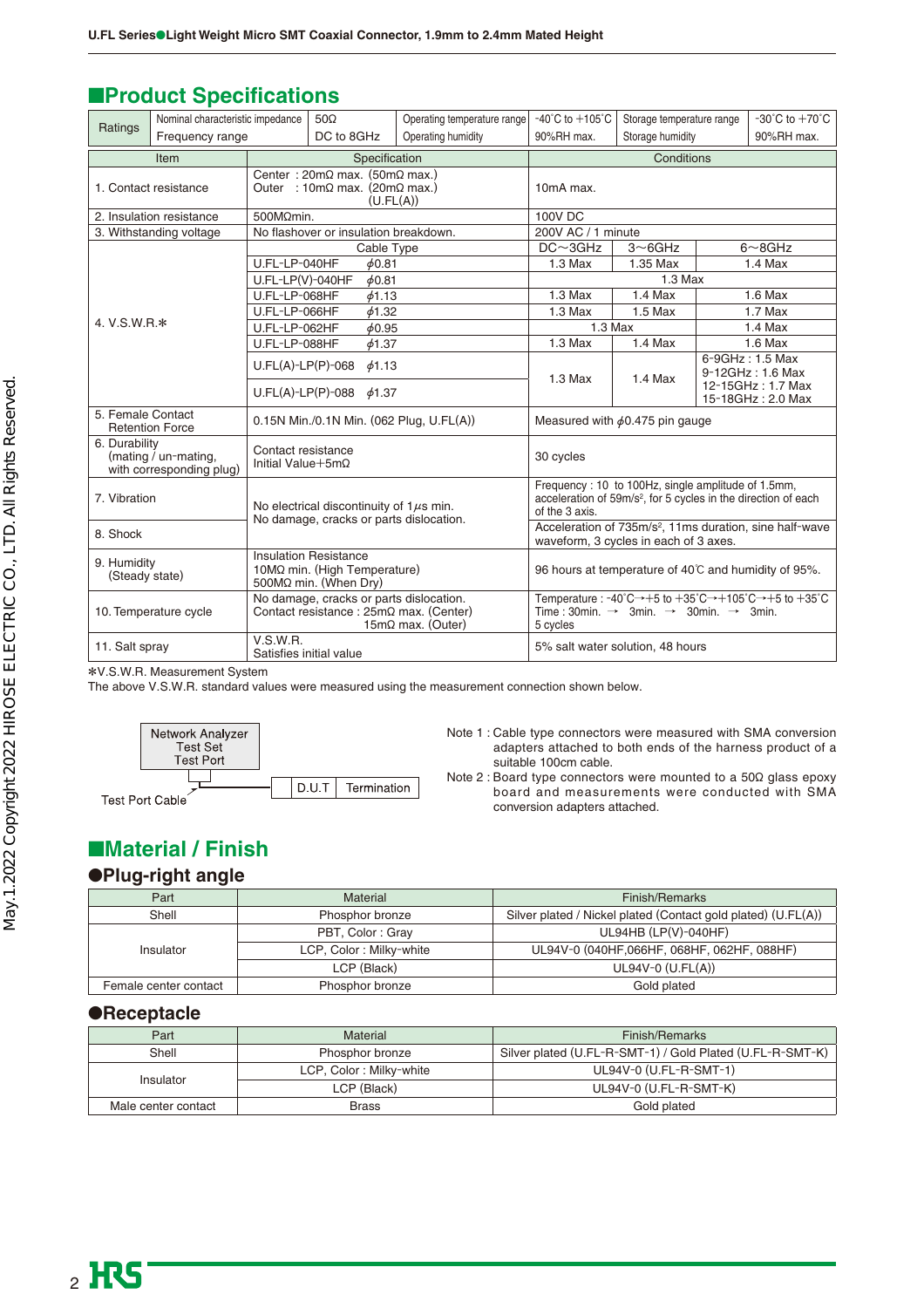## ■**Product Specifications**

| Ratings                                                                                 | Nominal characteristic impedance                 |                                                                                                                    | $50\Omega$                                   | Operating temperature range                                                                                                                                                          | $-40^{\circ}$ C to $+105^{\circ}$ C                                                                                                                | Storage temperature range |  | $-30^{\circ}$ C to $+70^{\circ}$ C                       |
|-----------------------------------------------------------------------------------------|--------------------------------------------------|--------------------------------------------------------------------------------------------------------------------|----------------------------------------------|--------------------------------------------------------------------------------------------------------------------------------------------------------------------------------------|----------------------------------------------------------------------------------------------------------------------------------------------------|---------------------------|--|----------------------------------------------------------|
|                                                                                         | Frequency range                                  |                                                                                                                    | DC to 8GHz                                   | Operating humidity                                                                                                                                                                   | 90%RH max.                                                                                                                                         | Storage humidity          |  | 90%RH max.                                               |
| Item                                                                                    |                                                  | Specification                                                                                                      |                                              | Conditions                                                                                                                                                                           |                                                                                                                                                    |                           |  |                                                          |
| 1. Contact resistance                                                                   |                                                  | Center: $20 \text{m}\Omega$ max. (50m $\Omega$ max.)<br>Outer : 10m $\Omega$ max. (20m $\Omega$ max.)<br>(U.FL(A)) |                                              | 10mA max.                                                                                                                                                                            |                                                                                                                                                    |                           |  |                                                          |
|                                                                                         | 2. Insulation resistance                         | 500MQmin.                                                                                                          |                                              |                                                                                                                                                                                      | <b>100V DC</b>                                                                                                                                     |                           |  |                                                          |
|                                                                                         | 3. Withstanding voltage                          |                                                                                                                    | No flashover or insulation breakdown.        |                                                                                                                                                                                      | 200V AC / 1 minute                                                                                                                                 |                           |  |                                                          |
|                                                                                         |                                                  |                                                                                                                    | Cable Type                                   |                                                                                                                                                                                      | $DC \sim 3GHz$                                                                                                                                     | $3\neg$ 6GHz              |  | $6 \sim 8$ GHz                                           |
|                                                                                         |                                                  | U.FL-LP-040HF                                                                                                      | 60.81                                        |                                                                                                                                                                                      | $1.3$ Max                                                                                                                                          | 1.35 Max                  |  | $1.4$ Max                                                |
|                                                                                         |                                                  | $U.FL-LP(V)-040HF$                                                                                                 | 60.81                                        |                                                                                                                                                                                      |                                                                                                                                                    | $1.3$ Max                 |  |                                                          |
|                                                                                         |                                                  | U.FL-LP-068HF                                                                                                      | 61.13                                        |                                                                                                                                                                                      | $1.3$ Max                                                                                                                                          | $1.4$ Max                 |  | $1.6$ Max                                                |
|                                                                                         |                                                  | U.FL-LP-066HF                                                                                                      | 61.32                                        |                                                                                                                                                                                      | $1.3$ Max                                                                                                                                          | $1.5$ Max                 |  | $1.7$ Max                                                |
| 4. V.S.W.R.*                                                                            |                                                  | U.FL-LP-062HF                                                                                                      | $\phi$ 0.95                                  |                                                                                                                                                                                      | $1.3$ Max                                                                                                                                          |                           |  | $1.4$ Max                                                |
|                                                                                         |                                                  | U.FL-LP-088HF<br>61.37                                                                                             |                                              |                                                                                                                                                                                      | 1.3 Max                                                                                                                                            | $1.4$ Max                 |  | $1.6$ Max                                                |
|                                                                                         |                                                  | $U.FL(A)-LP(P)-068$<br>$\phi$ 1.13                                                                                 |                                              |                                                                                                                                                                                      | $1.3$ Max                                                                                                                                          | $1.4$ Max                 |  | 6-9GHz: 1.5 Max<br>9-12GHz: 1.6 Max<br>12-15GHz: 1.7 Max |
|                                                                                         |                                                  | $U.FL(A)-LP(P)-088$<br>$\phi$ 1.37                                                                                 |                                              |                                                                                                                                                                                      |                                                                                                                                                    |                           |  | 15-18GHz: 2.0 Max                                        |
| 5. Female Contact<br>0.15N Min./0.1N Min. (062 Plug, U.FL(A))<br><b>Retention Force</b> |                                                  |                                                                                                                    | Measured with $\phi$ 0.475 pin gauge         |                                                                                                                                                                                      |                                                                                                                                                    |                           |  |                                                          |
| 6. Durability                                                                           | (mating / un-mating,<br>with corresponding plug) | Contact resistance<br>Initial Value +5m $\Omega$                                                                   |                                              |                                                                                                                                                                                      | 30 cycles                                                                                                                                          |                           |  |                                                          |
| 7. Vibration                                                                            |                                                  |                                                                                                                    | No electrical discontinuity of $1\mu s$ min. |                                                                                                                                                                                      | Frequency: 10 to 100Hz, single amplitude of 1.5mm,<br>acceleration of 59m/s <sup>2</sup> , for 5 cycles in the direction of each<br>of the 3 axis. |                           |  |                                                          |
| 8. Shock                                                                                |                                                  |                                                                                                                    | No damage, cracks or parts dislocation.      |                                                                                                                                                                                      | Acceleration of 735m/s <sup>2</sup> , 11ms duration, sine half-wave<br>waveform, 3 cycles in each of 3 axes.                                       |                           |  |                                                          |
| 9. Humidity<br>(Steady state)                                                           |                                                  | <b>Insulation Resistance</b><br>10MΩ min. (High Temperature)<br>500 $M\Omega$ min. (When Dry)                      |                                              | 96 hours at temperature of 40°C and humidity of 95%.                                                                                                                                 |                                                                                                                                                    |                           |  |                                                          |
|                                                                                         | 10. Temperature cycle                            | No damage, cracks or parts dislocation.<br>Contact resistance : 25mΩ max. (Center)<br>$15m\Omega$ max. (Outer)     |                                              | Temperature: -40°C $\rightarrow$ +5 to +35°C $\rightarrow$ +105°C $\rightarrow$ +5 to +35°C<br>Time: 30min. $\rightarrow$ 3min. $\rightarrow$ 30min. $\rightarrow$ 3min.<br>5 cycles |                                                                                                                                                    |                           |  |                                                          |
| 11. Salt spray                                                                          |                                                  | V.S.W.R.<br>Satisfies initial value                                                                                |                                              |                                                                                                                                                                                      | 5% salt water solution, 48 hours                                                                                                                   |                           |  |                                                          |

\*V.S.W.R. Measurement System

The above V.S.W.R. standard values were measured using the measurement connection shown below.



Note 1 : Cable type connectors were measured with SMA conversion adapters attached to both ends of the harness product of a suitable 100cm cable.

Note 2 : Board type connectors were mounted to a 50Ω glass epoxy board and measurements were conducted with SMA conversion adapters attached.

## ■**Material / Finish**

### ●**Plug-right angle**

| Part                  | Material                | Finish/Remarks                                                |  |
|-----------------------|-------------------------|---------------------------------------------------------------|--|
| Shell                 | Phosphor bronze         | Silver plated / Nickel plated (Contact gold plated) (U.FL(A)) |  |
|                       | PBT, Color: Gray        | UL94HB (LP(V)-040HF)                                          |  |
| Insulator             | LCP, Color: Milky-white | UL94V-0 (040HF,066HF, 068HF, 062HF, 088HF)                    |  |
|                       | LCP (Black)             | $UL94V-0$ (U.FL(A))                                           |  |
| Female center contact | Phosphor bronze         | Gold plated                                                   |  |

### ●**Receptacle**

| Part                | Material                | Finish/Remarks                                            |  |
|---------------------|-------------------------|-----------------------------------------------------------|--|
| Shell               | Phosphor bronze         | Silver plated (U.FL-R-SMT-1) / Gold Plated (U.FL-R-SMT-K) |  |
|                     | LCP, Color: Milky-white | UL94V-0 (U.FL-R-SMT-1)                                    |  |
| Insulator           | LCP (Black)             | UL94V-0 (U.FL-R-SMT-K)                                    |  |
| Male center contact | <b>Brass</b>            | Gold plated                                               |  |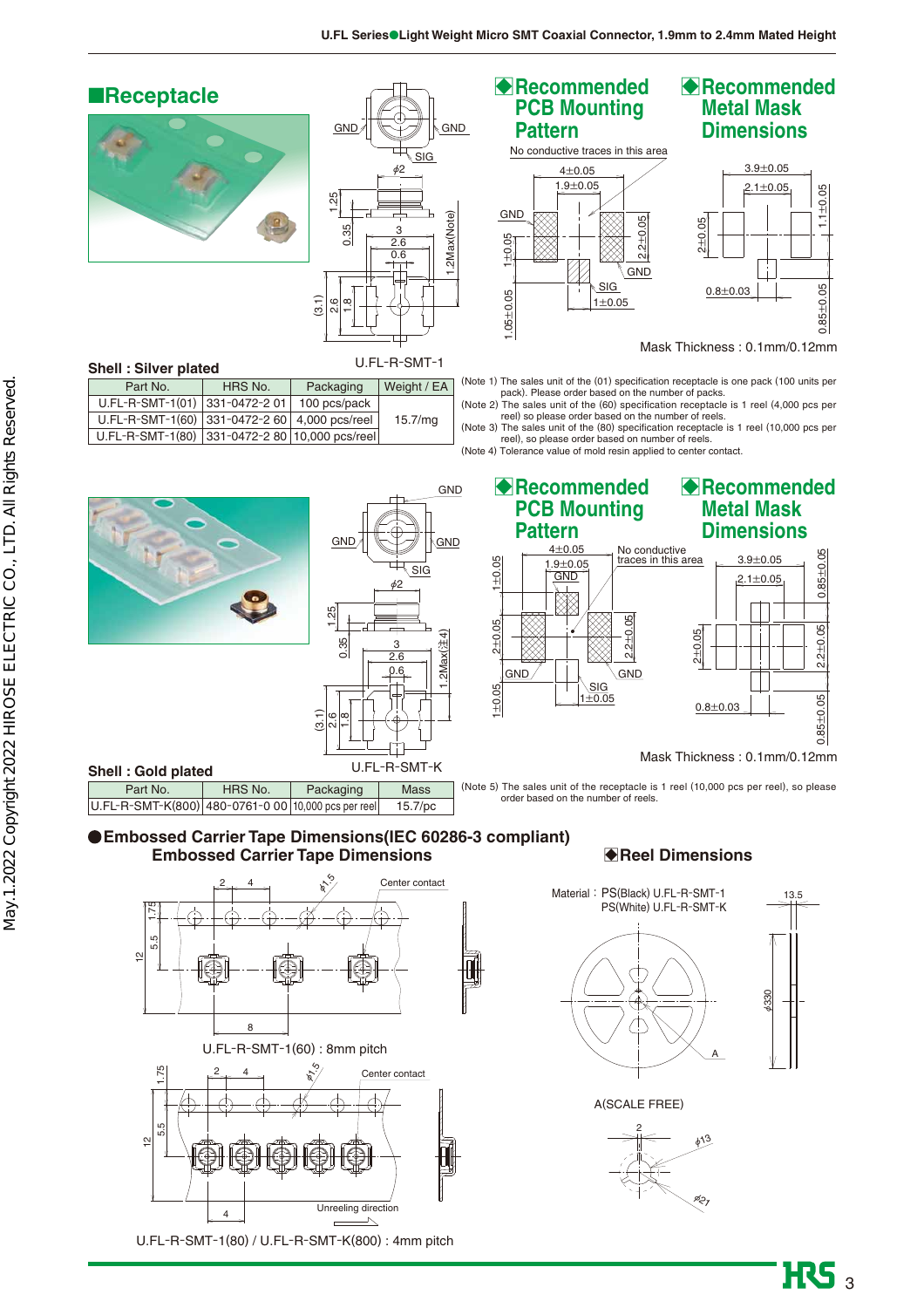## ■**Receptacle**





## **Shell : Silver plated**

| Part No.                                       | HRS No. | Packaging    | Weight / EA |
|------------------------------------------------|---------|--------------|-------------|
| U.FL-R-SMT-1(01) 331-0472-2 01                 |         | 100 pcs/pack |             |
| U.FL-R-SMT-1(60) 331-0472-2 60 4,000 pcs/reel  |         |              | 15.7/mq     |
| U.FL-R-SMT-1(80) 331-0472-2 80 10,000 pcs/reel |         |              |             |

## **B** Recommended **PCB Mounting Pattern**



## B **Recommended Metal Mask Dimensions**



Mask Thickness : 0.1mm/0.12mm

(Note 1) The sales unit of the (01) specification receptacle is one pack (100 units per pack). Please order based on the number of packs.<br>(Note 2) The sales unit of the (60) specification receptacle is 1 reel (4,000 pcs p

reel), so please order based on number of reels. (Note 4) Tolerance value of mold resin applied to center contact.



### **Embossed Carrier Tape Dimensions(IEC 60286-3 compliant) Embossed Carrier Tape Dimensions**



U.FL-R-SMT-1(80) / U.FL-R-SMT-K(800) : 4mm pitch

## B**Reel Dimensions**



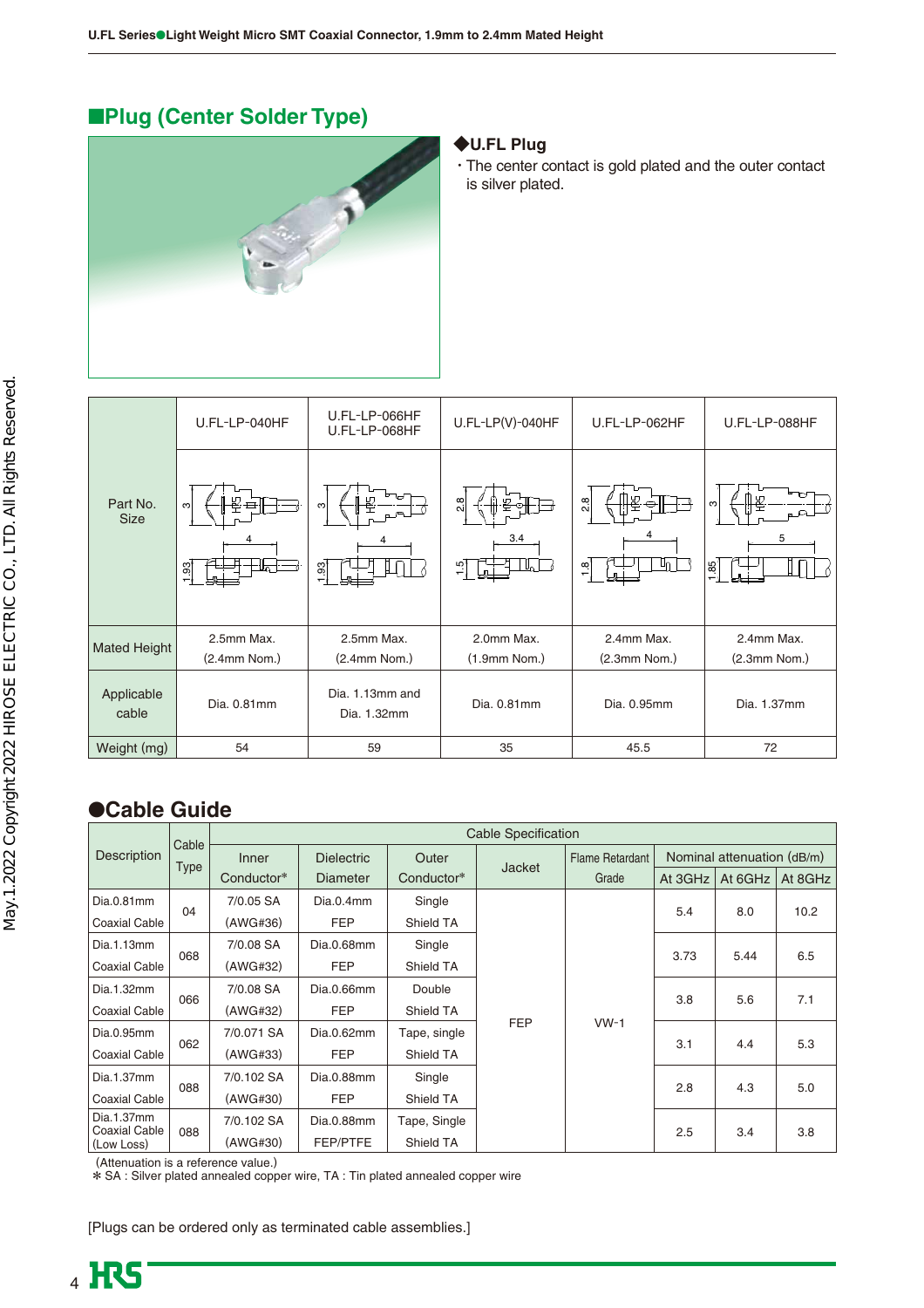## ■**Plug (Center Solder Type)**



### **◆U.FL Plug**

・The center contact is gold plated and the outer contact is silver plated.

| U.FL-LP-040HF               | U.FL-LP-066HF<br>U.FL-LP-068HF | $U.FL-LP(V)-040HF$                  | U.FL-LP-062HF                    | U.FL-LP-088HF  |
|-----------------------------|--------------------------------|-------------------------------------|----------------------------------|----------------|
| നി<br>$\frac{33}{1}$<br>−⊔⊤ | ო<br>$\frac{33}{2}$            | 2.8<br>3.4<br>╙╻<br>$\frac{1.5}{1}$ | 半<br>2.8<br>U∩<br>$\frac{8}{10}$ | S<br>5<br>1.85 |
| 2.5mm Max.                  | 2.5mm Max.                     | 2.0mm Max.                          | 2.4mm Max.                       | 2.4mm Max.     |
|                             |                                |                                     |                                  | $(2.3mm$ Nom.) |
| Dia. 0.81mm                 | Dia. 1.13mm and<br>Dia. 1.32mm | Dia. 0.81mm                         | Dia. 0.95mm                      | Dia. 1.37mm    |
| 54                          | 59                             | 35                                  | 45.5                             | 72             |
|                             | $(2.4mm$ Nom.)                 | $(2.4mm$ Nom.)                      | $(1.9mm$ Nom.)                   | $(2.3mm$ Nom.) |

## ●**Cable Guide**

|                                    | Cable       |            |                   |              | <b>Cable Specification</b> |                        |                            |         |         |
|------------------------------------|-------------|------------|-------------------|--------------|----------------------------|------------------------|----------------------------|---------|---------|
| Description                        |             | Inner      | <b>Dielectric</b> | Outer        | <b>Jacket</b>              | <b>Flame Retardant</b> | Nominal attenuation (dB/m) |         |         |
|                                    | <b>Type</b> | Conductor* | <b>Diameter</b>   | Conductor*   |                            | Grade                  | At 3GHz                    | At 6GHz | At 8GHz |
| Dia.0.81mm                         | 04          | 7/0.05 SA  | Dia.0.4mm         | Single       |                            |                        | 5.4                        | 8.0     | 10.2    |
| <b>Coaxial Cable</b>               |             | (AWG#36)   | <b>FEP</b>        | Shield TA    |                            |                        |                            |         |         |
| Dia.1.13mm                         | 068         | 7/0.08 SA  | Dia.0.68mm        | Single       |                            |                        | 3.73                       |         | 6.5     |
| <b>Coaxial Cable</b>               |             | (AWG#32)   | <b>FEP</b>        | Shield TA    |                            |                        |                            | 5.44    |         |
| Dia.1.32mm                         | 066         | 7/0.08 SA  | Dia.0.66mm        | Double       |                            |                        | 3.8                        | 5.6     | 7.1     |
| <b>Coaxial Cable</b>               |             | (AWG#32)   | <b>FEP</b>        | Shield TA    |                            |                        |                            |         |         |
| Dia.0.95mm                         | 062         | 7/0.071 SA | Dia.0.62mm        | Tape, single | <b>FEP</b>                 | $VW-1$                 | 3.1                        | 4.4     | 5.3     |
| <b>Coaxial Cable</b>               |             | (AWG#33)   | <b>FEP</b>        | Shield TA    |                            |                        |                            |         |         |
| Dia.1.37mm                         | 088         | 7/0.102 SA | Dia.0.88mm        | Single       |                            |                        | 2.8                        | 4.3     | 5.0     |
| <b>Coaxial Cable</b>               |             | (AWG#30)   | <b>FEP</b>        | Shield TA    |                            |                        |                            |         |         |
| Dia.1.37mm<br><b>Coaxial Cable</b> |             | 7/0.102 SA | Dia.0.88mm        | Tape, Single |                            |                        | 2.5                        | 3.4     | 3.8     |
| (Low Loss)                         | 088         | (AWG#30)   | FEP/PTFE          | Shield TA    |                            |                        |                            |         |         |

(Attenuation is a reference value.)

\* SA : Silver plated annealed copper wire, TA : Tin plated annealed copper wire

[Plugs can be ordered only as terminated cable assemblies.]

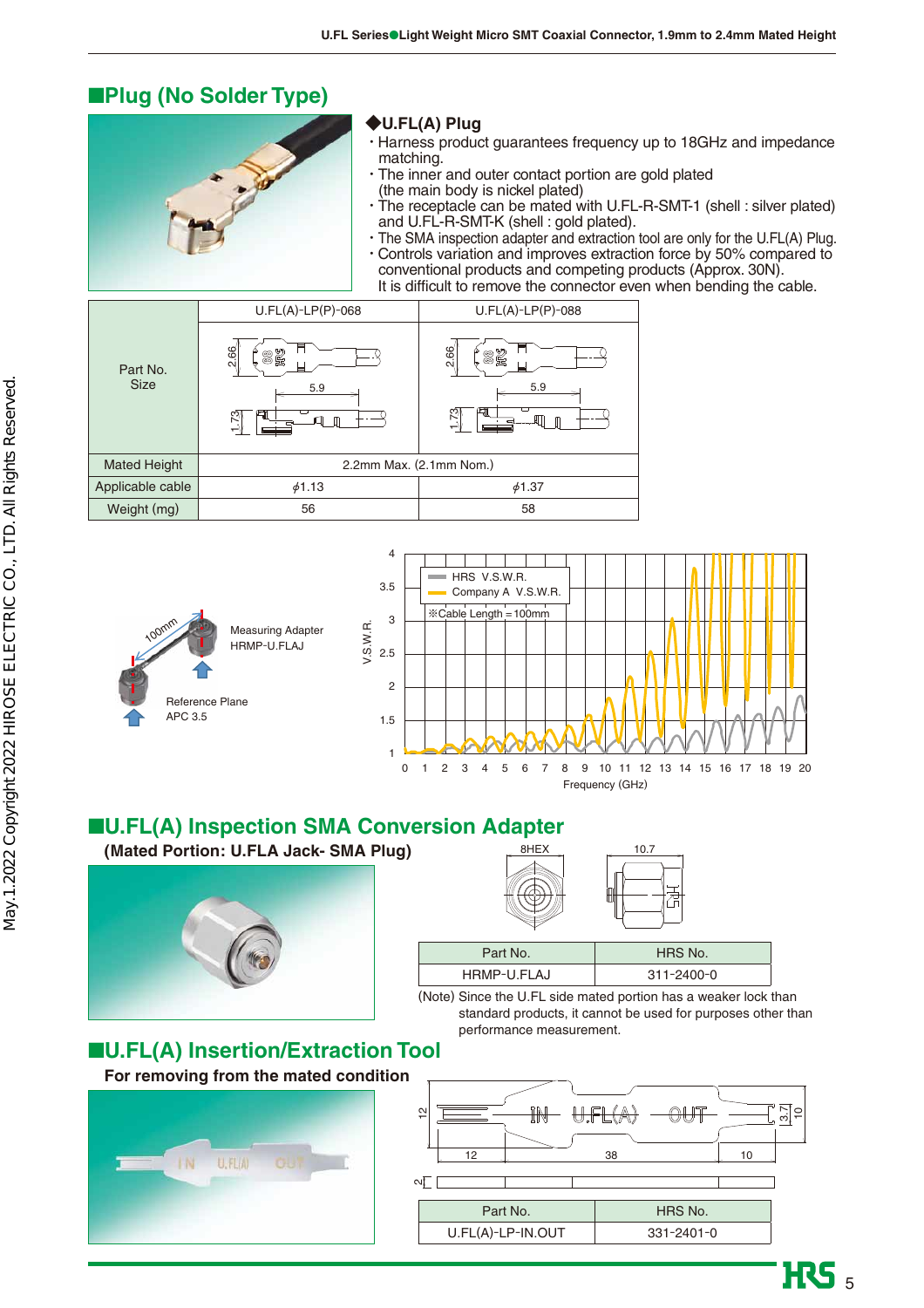## ■**Plug (No Solder Type)**



## **◆U.FL(A) Plug**

- ・Harness product guarantees frequency up to 18GHz and impedance matching.
- ・The inner and outer contact portion are gold plated (the main body is nickel plated)
- ・The receptacle can be mated with U.FL-R-SMT-1 (shell : silver plated) and U.FL-R-SMT-K (shell : gold plated).
- ・The SMA inspection adapter and extraction tool are only for the U.FL(A) Plug. ・Controls variation and improves extraction force by 50% compared to conventional products and competing products (Approx. 30N). It is difficult to remove the connector even when bending the cable.

|                         | $U.FL(A)-LP(P)-068$   | $U.FL(A)-LP(P)-088$     |
|-------------------------|-----------------------|-------------------------|
| Part No.<br><b>Size</b> | 2.66<br>恩<br>ൠ<br>5.9 | 2.66<br>82<br>5.9<br>╒╕ |
| <b>Mated Height</b>     |                       | 2.2mm Max. (2.1mm Nom.) |
| Applicable cable        | 61.13                 | 64.37                   |
| Weight (mg)             | 56                    | 58                      |



## ■**U.FL(A) Inspection SMA Conversion Adapter**

**(Mated Portion: U.FLA Jack- SMA Plug)**



| Part No.    | HRS No.    |
|-------------|------------|
| HRMP-U.FLAJ | 311-2400-0 |

 $BHEX$  10.7

(Note) Since the U.FL side mated portion has a weaker lock than standard products, it cannot be used for purposes other than performance measurement.

## ■**U.FL(A) Insertion/Extraction Tool**

**For removing from the mated condition**



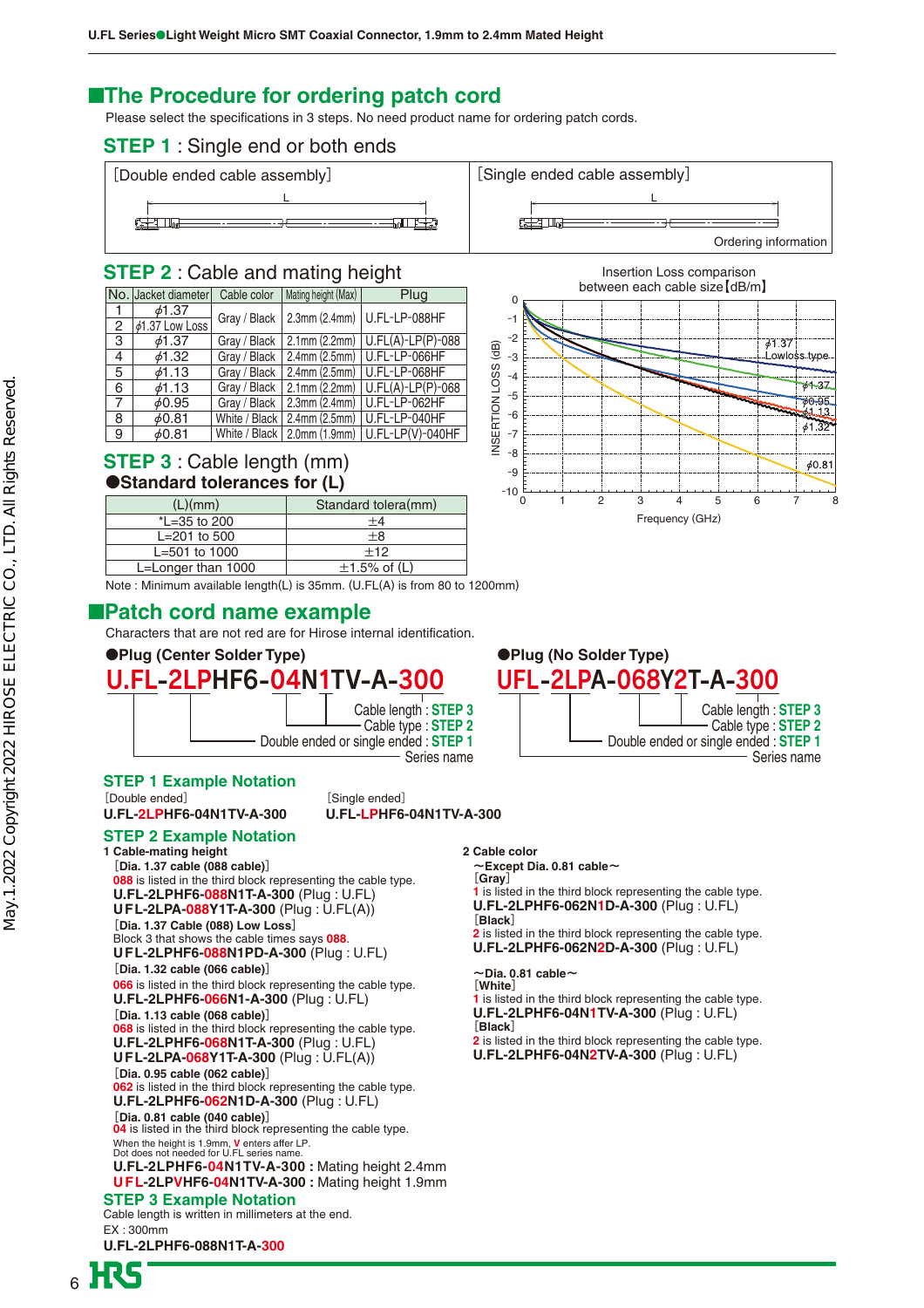## ■**The Procedure for ordering patch cord**

Please select the specifications in 3 steps. No need product name for ordering patch cords.

### **STEP 1** : Single end or both ends



### **STEP 2** : Cable and mating height

|              | No. Jacket diameter  | Cable color   | Mating height (Max) | Plug                                             |
|--------------|----------------------|---------------|---------------------|--------------------------------------------------|
| $\mathbf{1}$ | $\phi$ 1.37          | Gray / Black  |                     | 2.3mm (2.4mm)   U.FL-LP-088HF                    |
| 2            | $\phi$ 1.37 Low Loss |               |                     |                                                  |
| 3            | 61.37                | Gray / Black  |                     | $2.1$ mm (2.2mm)   U.FL(A)-LP(P)-088             |
| 4            | 61.32                | Gray / Black  |                     | 2.4mm (2.5mm)   U.FL-LP-066HF                    |
| 5            | 61.13                | Gray / Black  |                     | 2.4mm (2.5mm)   U.FL-LP-068HF                    |
| 6            | 61.13                | Gray / Black  |                     | $2.1$ mm (2.2mm) $ $ U.FL(A)-LP(P)-068           |
| 7            | 60.95                | Gray / Black  |                     | 2.3mm (2.4mm)   U.FL-LP-062HF                    |
| 8            | 60.81                | White / Black |                     | 2.4mm (2.5mm)   U.FL-LP-040HF                    |
| 9            | 60.81                |               |                     | White / Black   2.0mm (1.9mm)   U.FL-LP(V)-040HF |

### **STEP 3** : Cable length (mm) ●**Standard tolerances for (L)**

| Standard tolera(mm) |
|---------------------|
| $+4$                |
| $+8$                |
| $+12$               |
| $\pm$ 1.5% of (L)   |
|                     |



Note : Minimum available length(L) is 35mm. (U.FL(A) is from 80 to 1200mm)

## ■**Patch cord name example**

Characters that are not red are for Hirose internal identification.

#### ●**Plug (Center Solder Type)** ●**Plug (No Solder Type)**



#### **STEP 1 Example Notation**

[Double ended] **U.FL-2LPHF6-04N1TV-A-300** Cable length is written in millimeters at the end. EX : 300mm **U.FL-2LPHF6-088N1T-A-300 1 Cable-mating height [Dia. 1.37 cable (088 cable)] 088** is listed in the third block representing the cable type. **U.FL-2LPHF6-088N1T-A-300** (Plug : U.FL) **UFL-2LPA-088Y1T-A-300** (Plug : U.FL(A)) **[Dia. 1.37 Cable (088) Low Loss]** Block 3 that shows the cable times says **088**. **UFL-2LPHF6-088N1PD-A-300** (Plug : U.FL) **[Dia. 1.32 cable (066 cable)] 066** is listed in the third block representing the cable type. **U.FL-2LPHF6-066N1-A-300** (Plug : U.FL) **[Dia. 1.13 cable (068 cable)] 068** is listed in the third block representing the cable type. **U.FL-2LPHF6-068N1T-A-300** (Plug : U.FL) **UFL-2LPA-068Y1T-A-300** (Plug : U.FL(A)) **[Dia. 0.95 cable (062 cable)] 062** is listed in the third block representing the cable type. **U.FL-2LPHF6-062N1D-A-300** (Plug : U.FL) **[Dia. 0.81 cable (040 cable)] 04** is listed in the third block representing the cable type. When the height is 1.9mm, **V** enters affer LP. Dot does not needed for U.FL series name. **U.FL-2LPHF6-04N1TV-A-300 :** Mating height 2.4mm **UFL-2LPVHF6-04N1TV-A-300 :** Mating height 1.9mm [Single ended] **U.FL-LPHF6-04N1TV-A-300 STEP 3 Example Notation STEP 2 Example Notation**



#### **2 Cable color**

~**Except Dia. 0.81 cable**~

**[Gray] 1** is listed in the third block representing the cable type.

**U.FL-2LPHF6-062N1D-A-300** (Plug : U.FL) **[Black]**

**2** is listed in the third block representing the cable type. **U.FL-2LPHF6-062N2D-A-300** (Plug : U.FL)

~**Dia. 0.81 cable**~ **[White]**

**1** is listed in the third block representing the cable type. **U.FL-2LPHF6-04N1TV-A-300** (Plug : U.FL)

**[Black]**

**2** is listed in the third block representing the cable type. **U.FL-2LPHF6-04N2TV-A-300** (Plug : U.FL)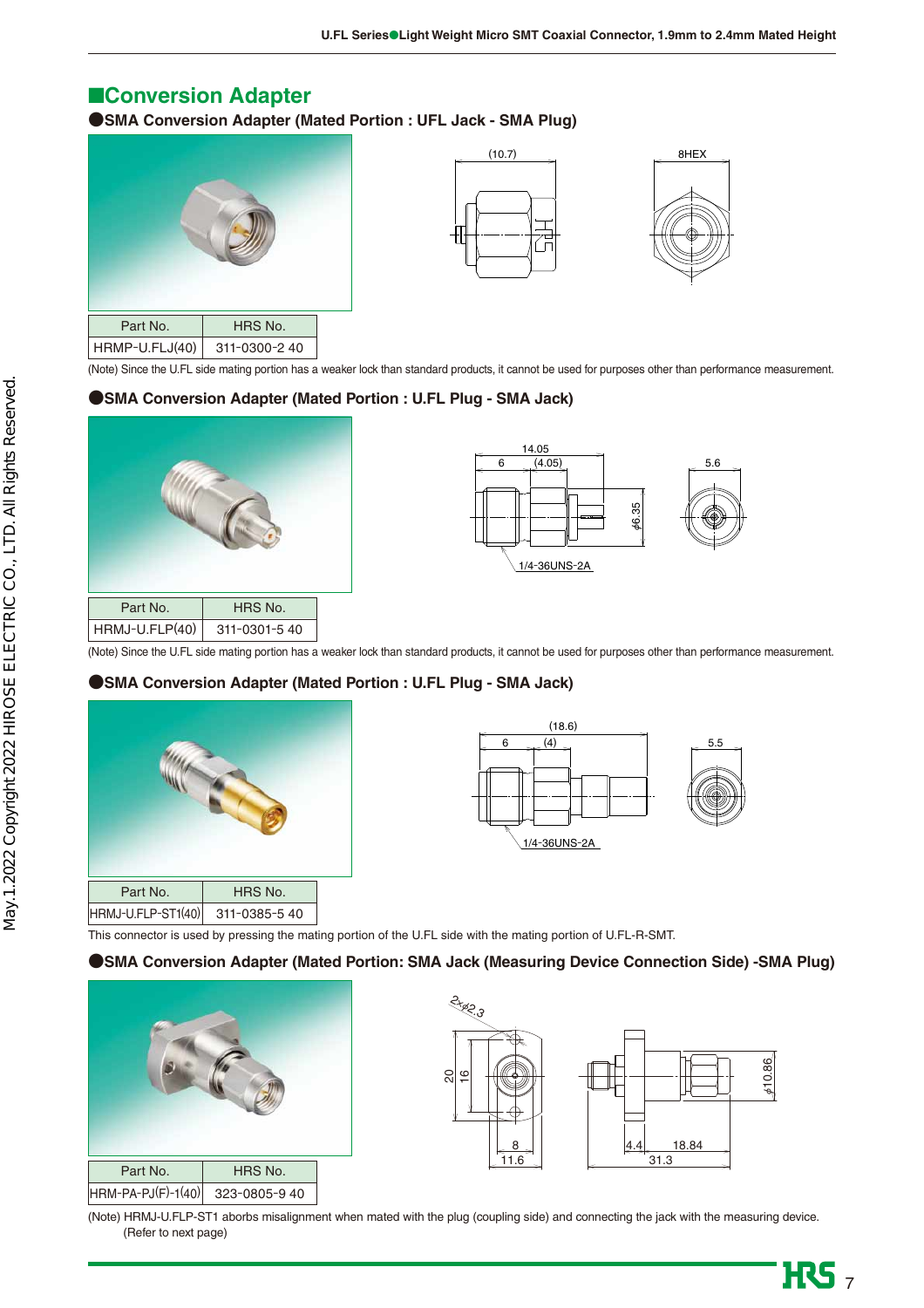## ■**Conversion Adapter**

**● SMA Conversion Adapter (Mated Portion : UFL Jack - SMA Plug)**







(Note) Since the U.FL side mating portion has a weaker lock than standard products, it cannot be used for purposes other than performance measurement.

#### **● SMA Conversion Adapter (Mated Portion : U.FL Plug - SMA Jack)**





(Note) Since the U.FL side mating portion has a weaker lock than standard products, it cannot be used for purposes other than performance measurement.

#### **● SMA Conversion Adapter (Mated Portion : U.FL Plug - SMA Jack)**





This connector is used by pressing the mating portion of the U.FL side with the mating portion of U.FL-R-SMT.

#### **● SMA Conversion Adapter (Mated Portion: SMA Jack (Measuring Device Connection Side) -SMA Plug)**





(Note) HRMJ-U.FLP-ST1 aborbs misalignment when mated with the plug (coupling side) and connecting the jack with the measuring device. (Refer to next page)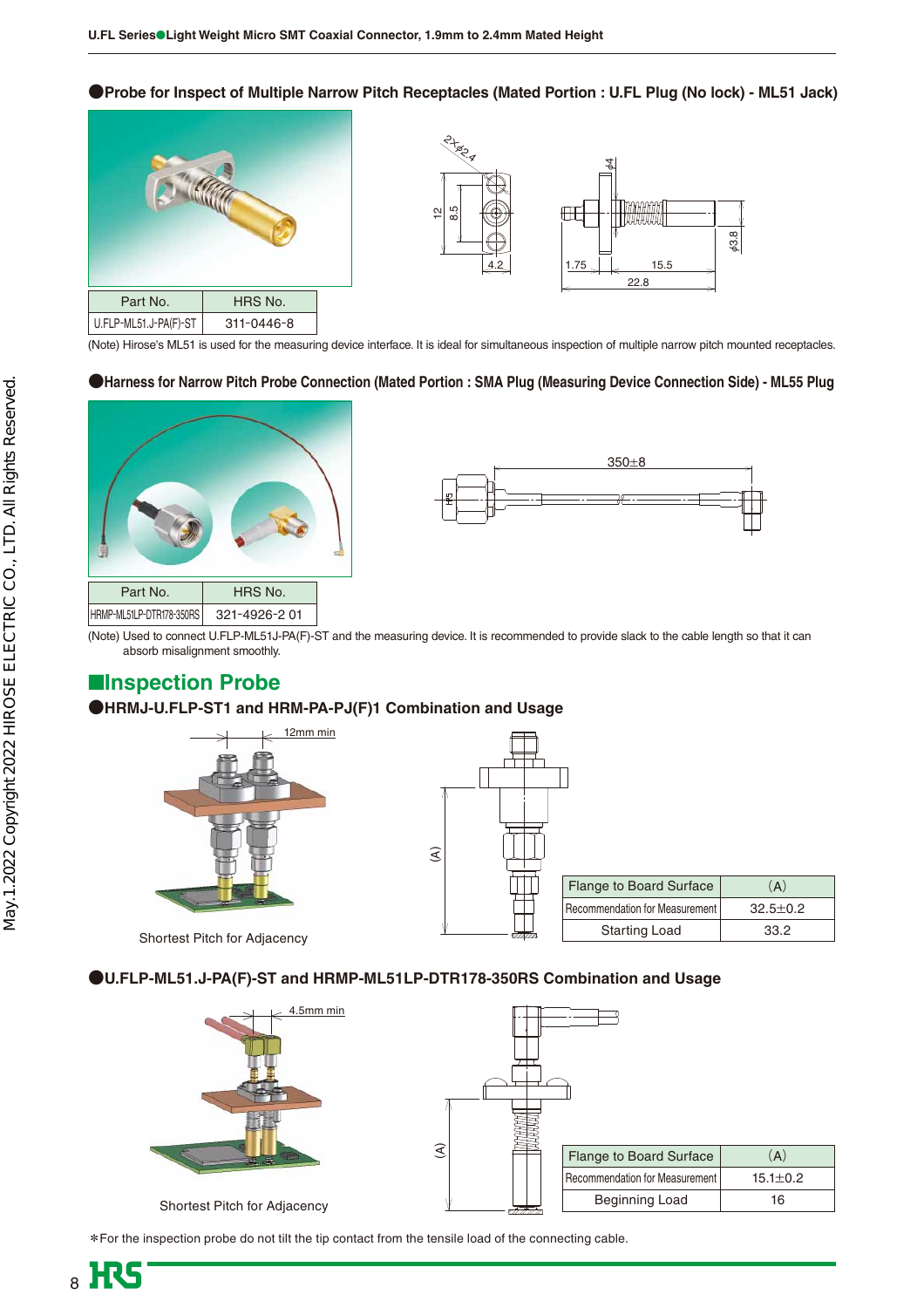**●Probe for Inspect of Multiple Narrow Pitch Receptacles (Mated Portion : U.FL Plug (No lock) - ML51 Jack)**





(Note) Hirose's ML51 is used for the measuring device interface. It is ideal for simultaneous inspection of multiple narrow pitch mounted receptacles.

#### **●Harness for Narrow Pitch Probe Connection (Mated Portion : SMA Plug (Measuring Device Connection Side) - ML55 Plug**





(Note) Used to connect U.FLP-ML51J-PA(F)-ST and the measuring device. It is recommended to provide slack to the cable length so that it can absorb misalignment smoothly.

## ■**Inspection Probe**

#### **● HRMJ-U.FLP-ST1 and HRM-PA-PJ(F)1 Combination and Usage**



Shortest Pitch for Adjacency

 $\mathfrak{S}$ Flange to Board Surface Recommendation for Measurement Starting Load  $(A)$ 32.5±0.2 33.2

**● U.FLP-ML51.J-PA(F)-ST and HRMP-ML51LP-DTR178-350RS Combination and Usage**



| $\widehat{\mathcal{E}}$ | <b>Flange to Board Surface</b> | (A)            |
|-------------------------|--------------------------------|----------------|
|                         | Recommendation for Measurement | $15.1 \pm 0.2$ |
|                         | <b>Beginning Load</b>          | 16             |

Shortest Pitch for Adjacency

**\***For the inspection probe do not tilt the tip contact from the tensile load of the connecting cable.

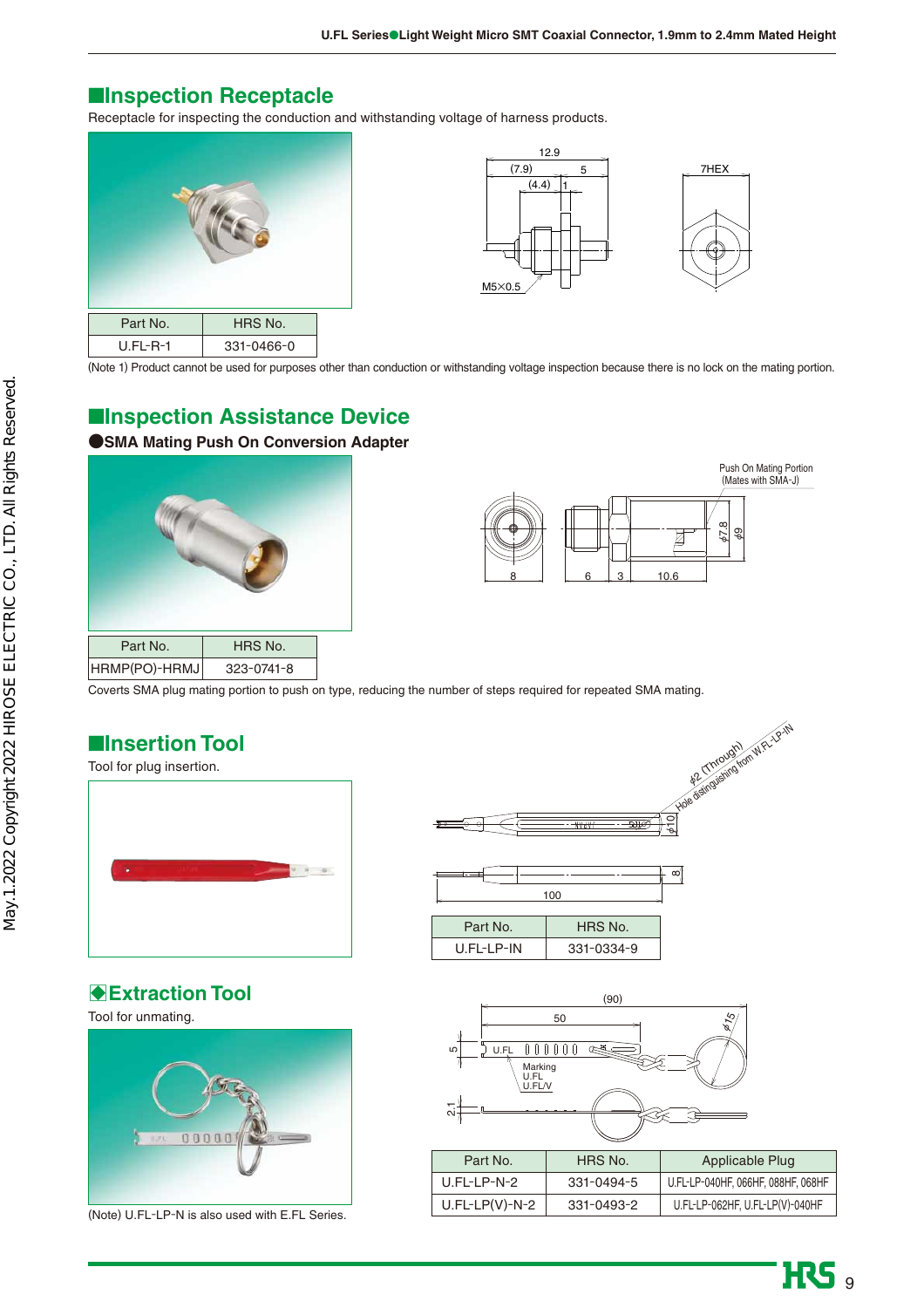## ■**Inspection Receptacle**

Receptacle for inspecting the conduction and withstanding voltage of harness products.







(Note 1) Product cannot be used for purposes other than conduction or withstanding voltage inspection because there is no lock on the mating portion.

## ■**Inspection Assistance Device**

### **●SMA Mating Push On Conversion Adapter**





(Mates with SMA-J)

Coverts SMA plug mating portion to push on type, reducing the number of steps required for repeated SMA mating.

## ■**Insertion Tool**



## **BExtraction Tool**

Tool for unmating.



(Note) U.FL-LP-N is also used with E.FL Series.



U.FL-LP-IN



331-0334-9

| Part No.         | HRS No.    | Applicable Plug                    |
|------------------|------------|------------------------------------|
| $U$ .FI-I P-N-2  | 331-0494-5 | U.FL-LP-040HF, 066HF, 088HF, 068HF |
| $U.FL-LP(V)-N-2$ | 331-0493-2 | U.FL-LP-062HF, U.FL-LP(V)-040HF    |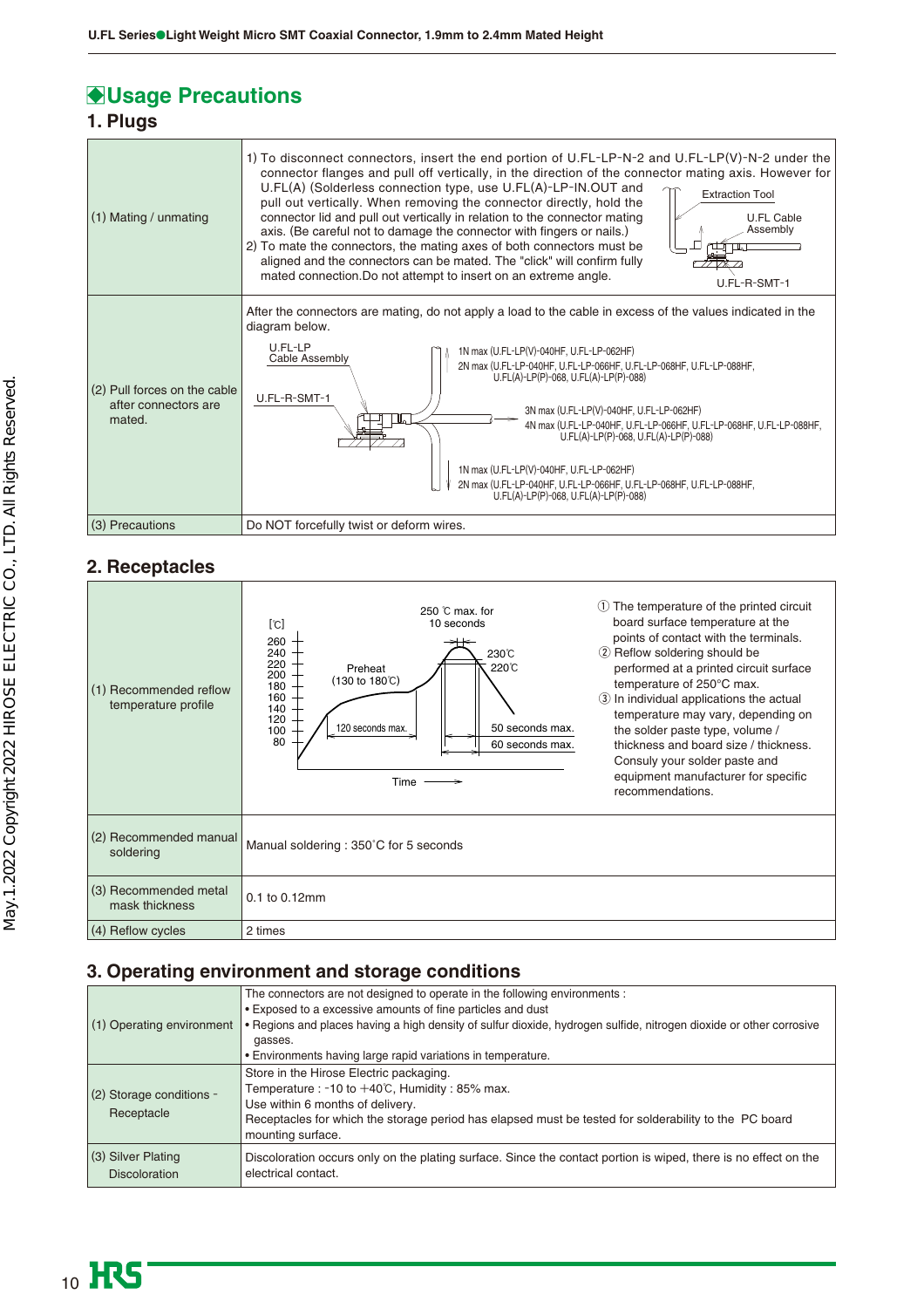## **Usage Precautions**

## **1. Plugs**

| (1) Mating / unmating                                          | 1) To disconnect connectors, insert the end portion of U.FL-LP-N-2 and U.FL-LP(V)-N-2 under the<br>connector flanges and pull off vertically, in the direction of the connector mating axis. However for<br>U.FL(A) (Solderless connection type, use U.FL(A)-LP-IN.OUT and<br><b>Extraction Tool</b><br>pull out vertically. When removing the connector directly, hold the<br>connector lid and pull out vertically in relation to the connector mating<br><b>U.FL Cable</b><br>Assembly<br>axis. (Be careful not to damage the connector with fingers or nails.)<br>2) To mate the connectors, the mating axes of both connectors must be<br>aligned and the connectors can be mated. The "click" will confirm fully<br>mated connection. Do not attempt to insert on an extreme angle.<br>U.FL-R-SMT-1 |
|----------------------------------------------------------------|-----------------------------------------------------------------------------------------------------------------------------------------------------------------------------------------------------------------------------------------------------------------------------------------------------------------------------------------------------------------------------------------------------------------------------------------------------------------------------------------------------------------------------------------------------------------------------------------------------------------------------------------------------------------------------------------------------------------------------------------------------------------------------------------------------------|
| (2) Pull forces on the cable<br>after connectors are<br>mated. | After the connectors are mating, do not apply a load to the cable in excess of the values indicated in the<br>diagram below.<br>U.FL-LP<br>1N max (U.FL-LP(V)-040HF, U.FL-LP-062HF)<br>Cable Assembly<br>2N max (U.FL-LP-040HF, U.FL-LP-066HF, U.FL-LP-068HF, U.FL-LP-088HF,<br>U.FL(A)-LP(P)-068, U.FL(A)-LP(P)-088)<br>U.FL-R-SMT-1<br>3N max (U.FL-LP(V)-040HF, U.FL-LP-062HF)<br>4N max (U.FL-LP-040HF, U.FL-LP-066HF, U.FL-LP-068HF, U.FL-LP-088HF,<br>U.FL(A)-LP(P)-068, U.FL(A)-LP(P)-088)<br>1N max (U.FL-LP(V)-040HF, U.FL-LP-062HF)<br>2N max (U.FL-LP-040HF, U.FL-LP-066HF, U.FL-LP-068HF, U.FL-LP-088HF,<br>U.FL(A)-LP(P)-068, U.FL(A)-LP(P)-088)                                                                                                                                             |
| (3) Precautions                                                | Do NOT forcefully twist or deform wires.                                                                                                                                                                                                                                                                                                                                                                                                                                                                                                                                                                                                                                                                                                                                                                  |

## **2. Receptacles**

| (1) Recommended reflow<br>temperature profile | The temperature of the printed circuit<br>(1)<br>250 $o$ max, for<br>board surface temperature at the<br>10 seconds<br>[°C]<br>points of contact with the terminals.<br>260<br>2 Reflow soldering should be<br>240<br>230℃<br>220<br>220°C<br>performed at a printed circuit surface<br>Preheat<br>200<br>$(130 \text{ to } 180^{\circ} \text{C})$<br>temperature of 250°C max.<br>180<br>160<br>In individual applications the actual<br>140<br>temperature may vary, depending on<br>120<br>50 seconds max.<br>120 seconds max.<br>the solder paste type, volume /<br>100<br>80<br>60 seconds max.<br>thickness and board size / thickness.<br>Consuly your solder paste and<br>equipment manufacturer for specific<br>$Time \longrightarrow$<br>recommendations. |
|-----------------------------------------------|---------------------------------------------------------------------------------------------------------------------------------------------------------------------------------------------------------------------------------------------------------------------------------------------------------------------------------------------------------------------------------------------------------------------------------------------------------------------------------------------------------------------------------------------------------------------------------------------------------------------------------------------------------------------------------------------------------------------------------------------------------------------|
| (2) Recommended manual<br>soldering           | Manual soldering: 350°C for 5 seconds                                                                                                                                                                                                                                                                                                                                                                                                                                                                                                                                                                                                                                                                                                                               |
| (3) Recommended metal<br>mask thickness       | 0.1 to 0.12mm                                                                                                                                                                                                                                                                                                                                                                                                                                                                                                                                                                                                                                                                                                                                                       |
| (4) Reflow cycles                             | 2 times                                                                                                                                                                                                                                                                                                                                                                                                                                                                                                                                                                                                                                                                                                                                                             |

## **3. Operating environment and storage conditions**

| (1) Operating environment                  | The connectors are not designed to operate in the following environments :<br>• Exposed to a excessive amounts of fine particles and dust<br>. Regions and places having a high density of sulfur dioxide, hydrogen sulfide, nitrogen dioxide or other corrosive<br>gasses.<br>• Environments having large rapid variations in temperature. |
|--------------------------------------------|---------------------------------------------------------------------------------------------------------------------------------------------------------------------------------------------------------------------------------------------------------------------------------------------------------------------------------------------|
| (2) Storage conditions -<br>Receptacle     | Store in the Hirose Electric packaging.<br>Temperature : $-10$ to $+40^{\circ}$ C, Humidity : 85% max.<br>Use within 6 months of delivery.<br>Receptacles for which the storage period has elapsed must be tested for solderability to the PC board<br>mounting surface.                                                                    |
| (3) Silver Plating<br><b>Discoloration</b> | Discoloration occurs only on the plating surface. Since the contact portion is wiped, there is no effect on the<br>electrical contact.                                                                                                                                                                                                      |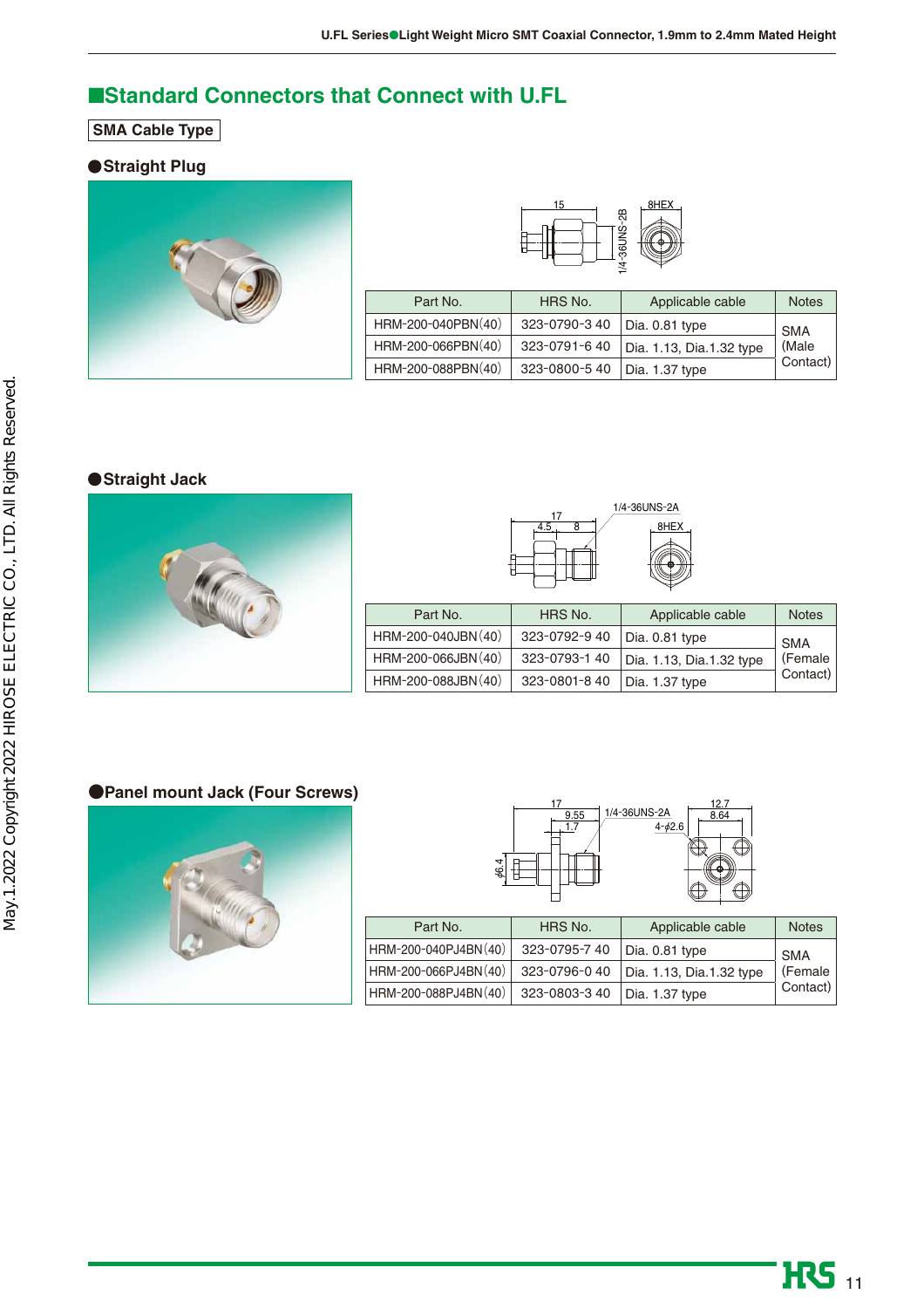## ■**Standard Connectors that Connect with U.FL**

**SMA Cable Type**

### **Straight Plug**





| Part No.           | HRS No.      | Applicable cable         | <b>Notes</b> |
|--------------------|--------------|--------------------------|--------------|
| HRM-200-040PBN(40) | 323-0790-340 | Dia. 0.81 type           | <b>SMA</b>   |
| HRM-200-066PBN(40) | 323-0791-640 | Dia. 1.13, Dia.1.32 type | (Male        |
| HRM-200-088PBN(40) | 323-0800-540 | Dia. 1.37 type           | Contact)     |

## **Straight Jack**



| 17  | 1/4-36UNS-2A |
|-----|--------------|
| 4.5 | 8HEX         |
|     |              |
|     |              |

| Part No.            | HRS No.      | Applicable cable         | <b>Notes</b> |
|---------------------|--------------|--------------------------|--------------|
| HRM-200-040JBN (40) | 323-0792-940 | Dia. 0.81 type           | <b>SMA</b>   |
| HRM-200-066JBN (40) | 323-0793-140 | Dia. 1.13, Dia.1.32 type | (Female      |
| HRM-200-088JBN (40) | 323-0801-840 | Dia. 1.37 type           | Contact)     |

### **●Panel mount Jack (Four Screws)**





| Part No.             | HRS No.       | Applicable cable         | <b>Notes</b> |
|----------------------|---------------|--------------------------|--------------|
| HRM-200-040PJ4BN(40) | 323-0795-740  | Dia. 0.81 type           | <b>SMA</b>   |
| HRM-200-066PJ4BN(40) | 323-0796-040  | Dia. 1.13, Dia.1.32 type | (Female      |
| HRM-200-088PJ4BN(40) | 323-0803-3 40 | Dia. 1.37 type           | Contact)     |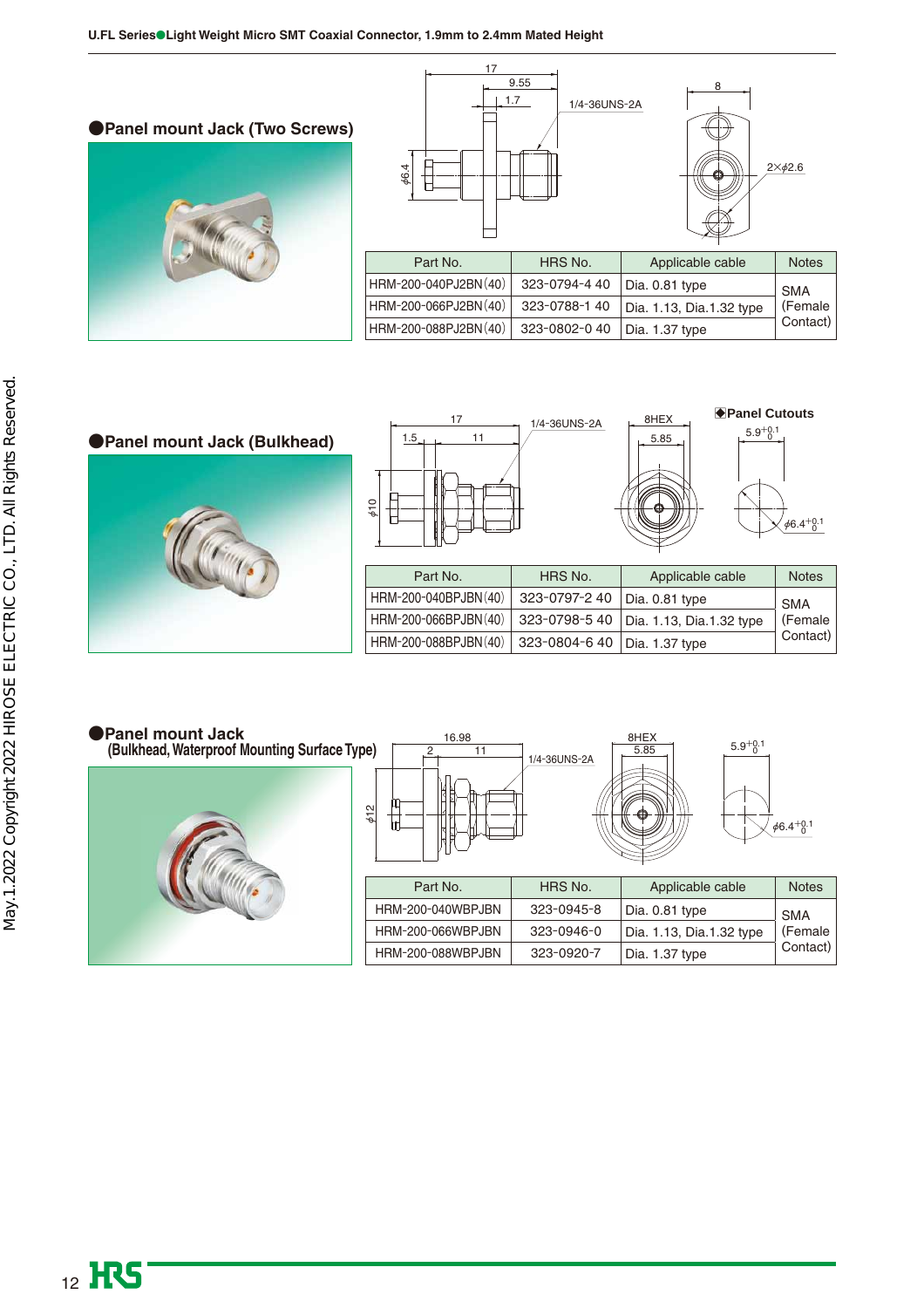







| Part No.             | HRS No.                        | Applicable cable                         | <b>Notes</b> |
|----------------------|--------------------------------|------------------------------------------|--------------|
| HRM-200-040BPJBN(40) | 323-0797-2 40   Dia. 0.81 type |                                          | <b>SMA</b>   |
| HRM-200-066BPJBN(40) |                                | 323-0798-5 40   Dia. 1.13, Dia.1.32 type | (Female      |
| HRM-200-088BPJBN(40) | 323-0804-6 40   Dia. 1.37 type |                                          | Contact)     |

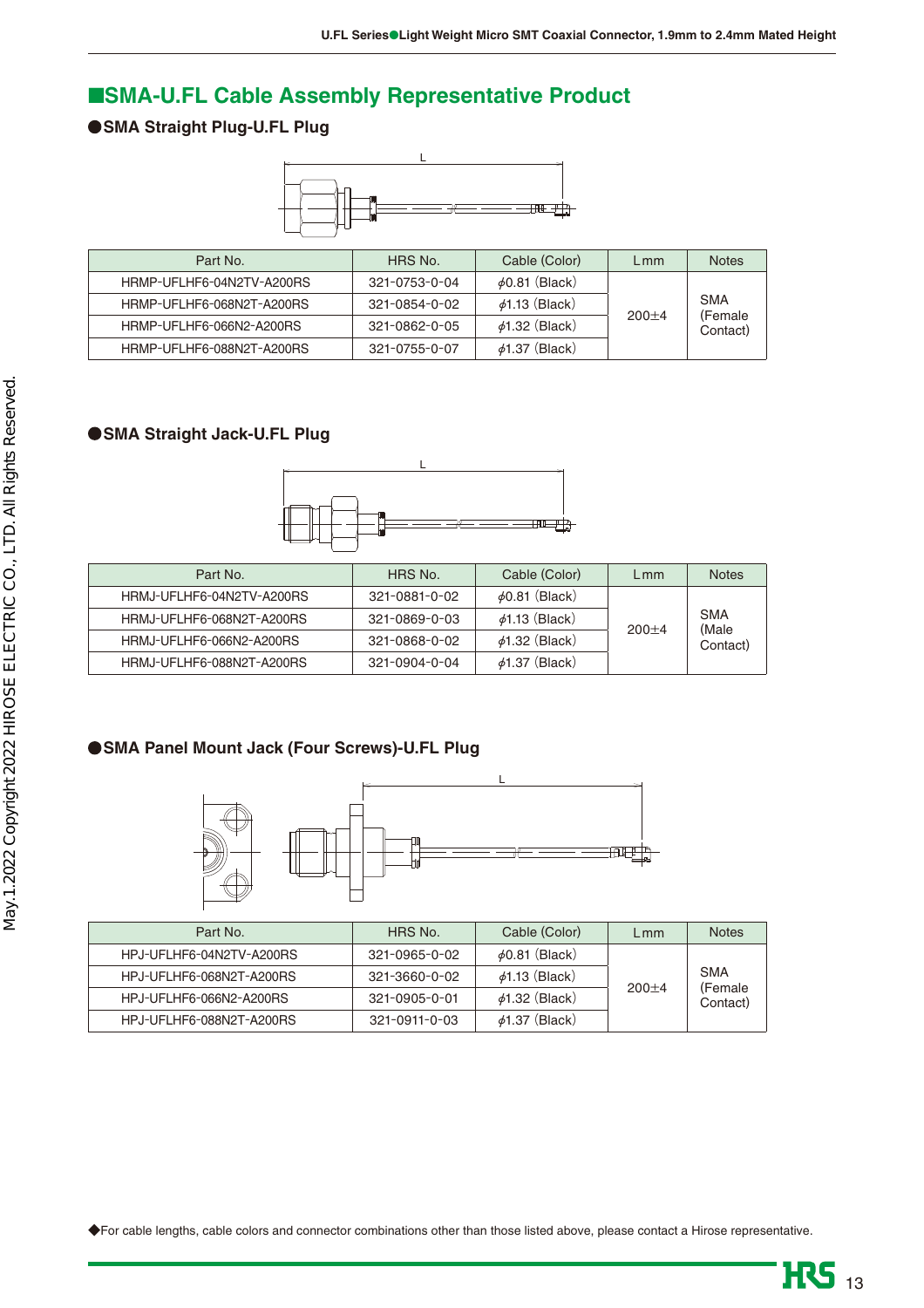## ■**SMA-U.FL Cable Assembly Representative Product**

## **SMA Straight Plug-U.FL Plug**



| Part No.                  | HRS No.               | Cable (Color)       | $L$ mm    | <b>Notes</b>        |
|---------------------------|-----------------------|---------------------|-----------|---------------------|
| HRMP-UFLHF6-04N2TV-A200RS | $321 - 0753 - 0 - 04$ | $\phi$ 0.81 (Black) |           |                     |
| HRMP-UFLHF6-068N2T-A200RS | 321-0854-0-02         | $\phi$ 1.13 (Black) |           | <b>SMA</b>          |
| HRMP-UFLHF6-066N2-A200RS  | 321-0862-0-05         | $\phi$ 1.32 (Black) | $200 + 4$ | (Female<br>Contact) |
| HRMP-UFLHF6-088N2T-A200RS | $321 - 0755 - 0 - 07$ | $\phi$ 1.37 (Black) |           |                     |

## **SMA Straight Jack-U.FL Plug**



| Part No.                  | HRS No.               | Cable (Color)       | $L$ mm    | <b>Notes</b>      |
|---------------------------|-----------------------|---------------------|-----------|-------------------|
| HRMJ-UFLHF6-04N2TV-A200RS | 321-0881-0-02         | $\phi$ 0.81 (Black) |           |                   |
| HRMJ-UFLHF6-068N2T-A200RS | 321-0869-0-03         | $\phi$ 1.13 (Black) |           | <b>SMA</b>        |
| HRMJ-UFLHF6-066N2-A200RS  | 321-0868-0-02         | $\phi$ 1.32 (Black) | $200 + 4$ | (Male<br>Contact) |
| HRMJ-UFLHF6-088N2T-A200RS | $321 - 0904 - 0 - 04$ | $\phi$ 1.37 (Black) |           |                   |

## **SMA Panel Mount Jack (Four Screws)-U.FL Plug**



| Part No.                 | HRS No.               | Cable (Color)       | $L$ mm    | <b>Notes</b>         |
|--------------------------|-----------------------|---------------------|-----------|----------------------|
| HPJ-UFLHF6-04N2TV-A200RS | 321-0965-0-02         | $\phi$ 0.81 (Black) |           |                      |
| HPJ-UFLHF6-068N2T-A200RS | 321-3660-0-02         | $\phi$ 1.13 (Black) |           | <b>SMA</b>           |
| HPJ-UFLHF6-066N2-A200RS  | 321-0905-0-01         | $\phi$ 1.32 (Black) | $200 + 4$ | (Female)<br>Contact) |
| HPJ-UFLHF6-088N2T-A200RS | $321 - 0911 - 0 - 03$ | $\phi$ 1.37 (Black) |           |                      |

◆For cable lengths, cable colors and connector combinations other than those listed above, please contact a Hirose representative.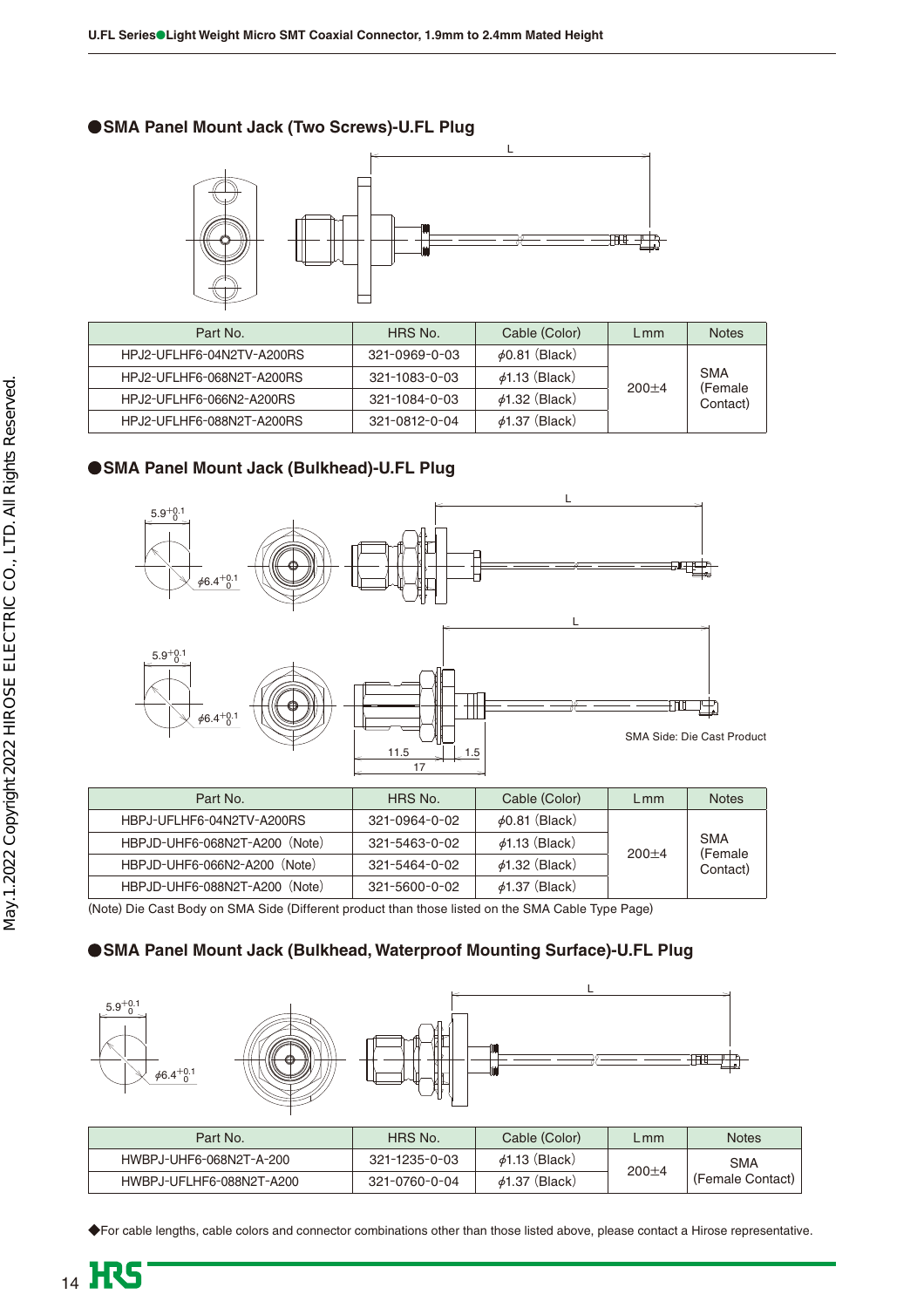### **SMA Panel Mount Jack (Two Screws)-U.FL Plug**



| Part No.                  | HRS No.               | Cable (Color)       | $L$ mm    | <b>Notes</b>         |
|---------------------------|-----------------------|---------------------|-----------|----------------------|
| HPJ2-UFLHF6-04N2TV-A200RS | $321 - 0969 - 0 - 03$ | $\phi$ 0.81 (Black) |           |                      |
| HPJ2-UFLHF6-068N2T-A200RS | 321-1083-0-03         | $\phi$ 1.13 (Black) |           | <b>SMA</b>           |
| HPJ2-UFLHF6-066N2-A200RS  | 321-1084-0-03         | $\phi$ 1.32 (Black) | $200 + 4$ | (Female)<br>Contact) |
| HPJ2-UFLHF6-088N2T-A200RS | 321-0812-0-04         | $\phi$ 1.37 (Black) |           |                      |

## **SMA Panel Mount Jack (Bulkhead)-U.FL Plug**



| Part No.                      | HRS No.               | Cable (Color)       | L mm      | <b>Notes</b>        |
|-------------------------------|-----------------------|---------------------|-----------|---------------------|
| HBPJ-UFLHF6-04N2TV-A200RS     | $321 - 0964 - 0 - 02$ | $\phi$ 0.81 (Black) |           |                     |
| HBPJD-UHF6-068N2T-A200 (Note) | 321-5463-0-02         | $\phi$ 1.13 (Black) | $200 + 4$ | <b>SMA</b>          |
| HBPJD-UHF6-066N2-A200 (Note)  | $321 - 5464 - 0 - 02$ | $\phi$ 1.32 (Black) |           | (Female<br>Contact) |
| HBPJD-UHF6-088N2T-A200 (Note) | $321 - 5600 - 0 - 02$ | $\phi$ 1.37 (Black) |           |                     |

(Note) Die Cast Body on SMA Side (Different product than those listed on the SMA Cable Type Page)

## **SMA Panel Mount Jack (Bulkhead, Waterproof Mounting Surface)-U.FL Plug**



| Part No.                 | HRS No.       | Cable (Color)       | L mm      | <b>Notes</b>     |
|--------------------------|---------------|---------------------|-----------|------------------|
| HWBPJ-UHF6-068N2T-A-200  | 321-1235-0-03 | $\phi$ 1.13 (Black) |           | <b>SMA</b>       |
| HWBPJ-UFLHF6-088N2T-A200 | 321-0760-0-04 | $\phi$ 1.37 (Black) | $200 + 4$ | (Female Contact) |

◆For cable lengths, cable colors and connector combinations other than those listed above, please contact a Hirose representative.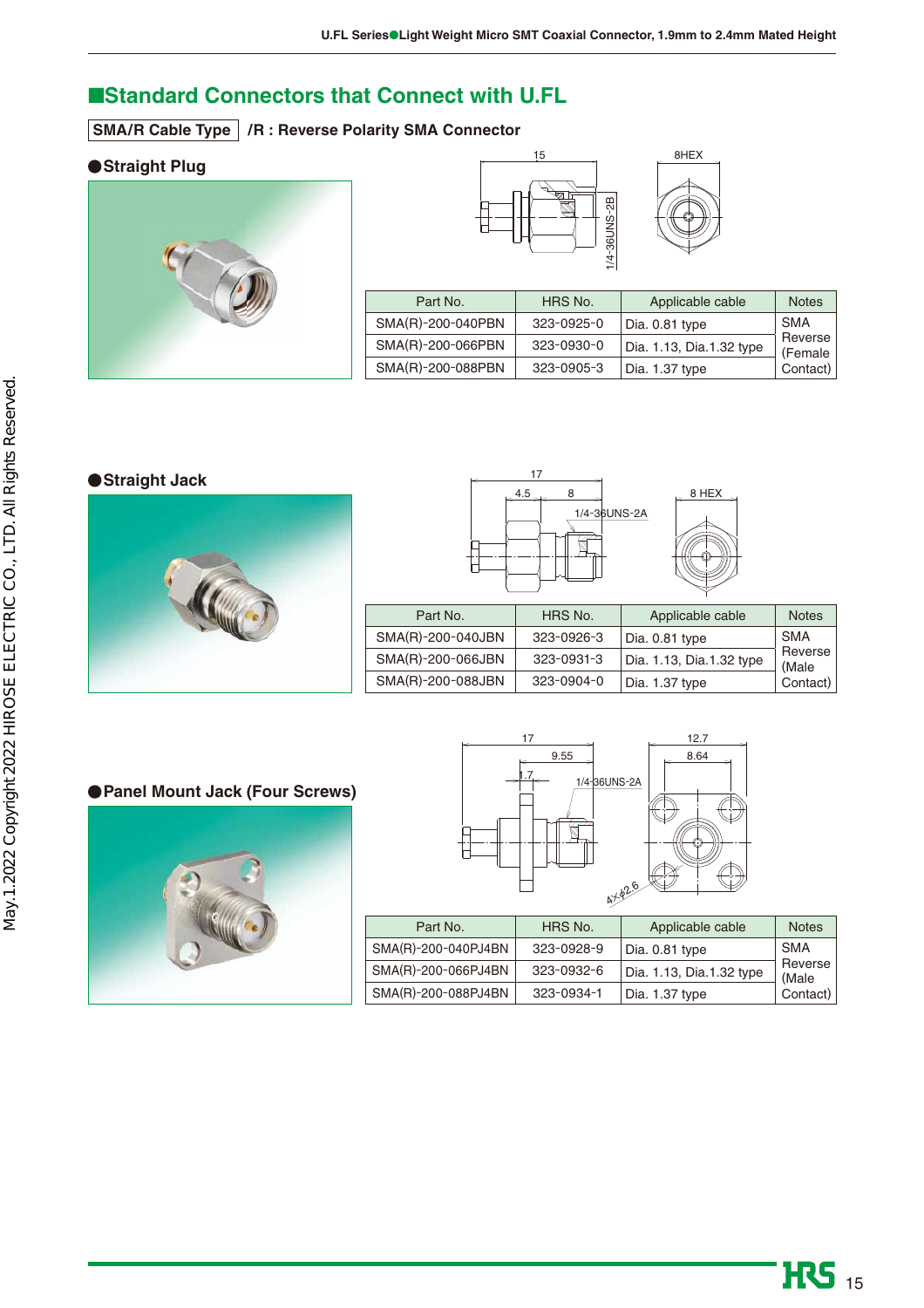## ■**Standard Connectors that Connect with U.FL**

**SMA/R Cable Type /R : Reverse Polarity SMA Connector** 

### **Straight Plug**







| Part No.          | HRS No.          | Applicable cable         | <b>Notes</b>       |
|-------------------|------------------|--------------------------|--------------------|
| SMA(R)-200-040PBN | 323-0925-0       | Dia. 0.81 type           | <b>SMA</b>         |
| SMA(R)-200-066PBN | $323 - 0930 - 0$ | Dia. 1.13, Dia.1.32 type | Reverse<br>(Female |
| SMA(R)-200-088PBN | 323-0905-3       | Dia. 1.37 type           | Contact)           |

#### **Straight Jack**





| Part No.          | HRS No.    | Applicable cable         | <b>Notes</b>     |
|-------------------|------------|--------------------------|------------------|
| SMA(R)-200-040JBN | 323-0926-3 | Dia. 0.81 type           | <b>SMA</b>       |
| SMA(R)-200-066JBN | 323-0931-3 | Dia. 1.13, Dia.1.32 type | Reverse<br>(Male |
| SMA(R)-200-088JBN | 323-0904-0 | Dia. 1.37 type           | Contact)         |

### **Panel Mount Jack (Four Screws)**





| Part No.            | HRS No.    | Applicable cable         | <b>Notes</b>     |
|---------------------|------------|--------------------------|------------------|
| SMA(R)-200-040PJ4BN | 323-0928-9 | Dia. 0.81 type           | <b>SMA</b>       |
| SMA(R)-200-066PJ4BN | 323-0932-6 | Dia. 1.13, Dia.1.32 type | Reverse<br>(Male |
| SMA(R)-200-088PJ4BN | 323-0934-1 | Dia. 1.37 type           | Contact)         |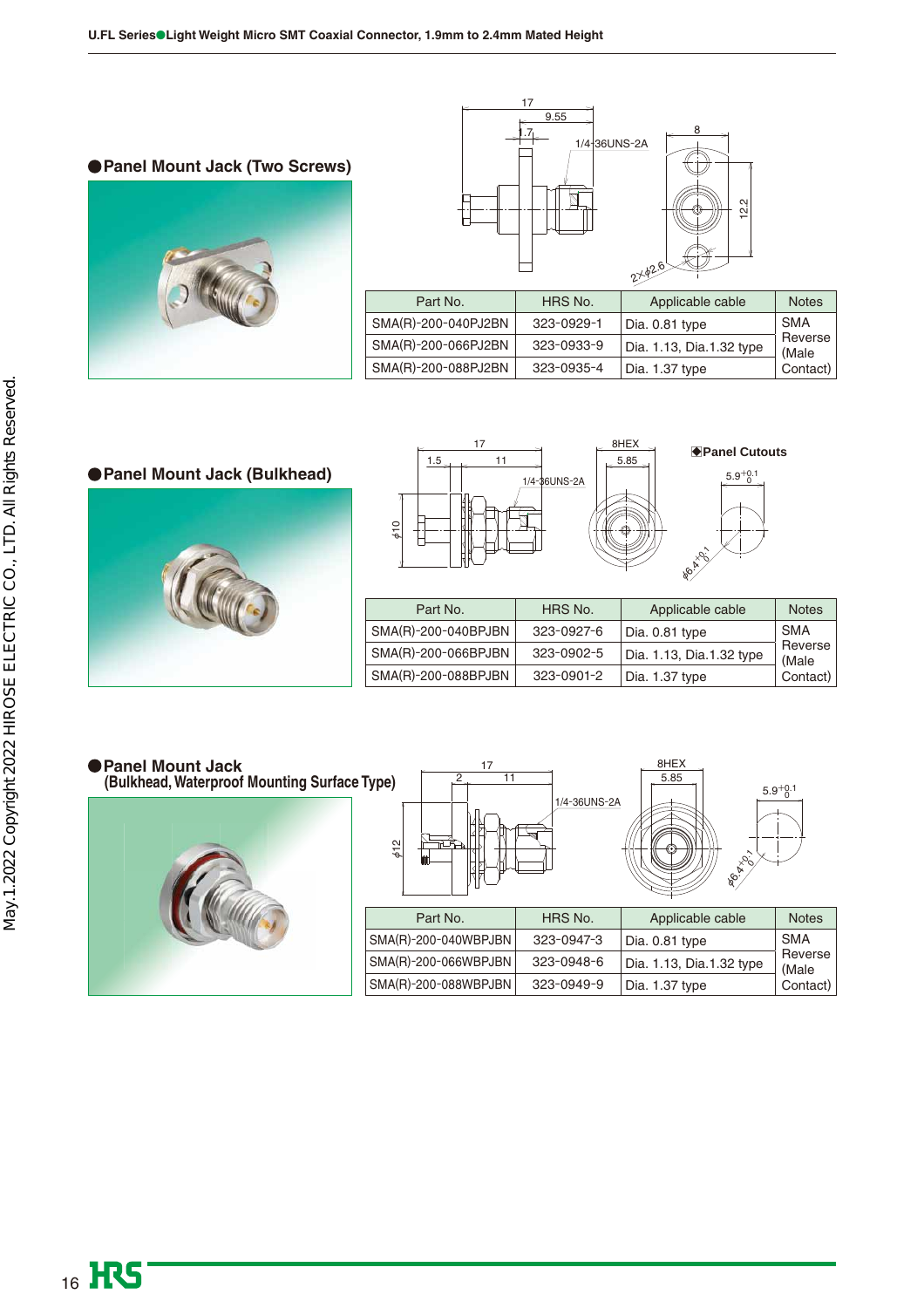**Panel Mount Jack (Two Screws)**





|                     |            | レー                       |                  |
|---------------------|------------|--------------------------|------------------|
| Part No.            | HRS No.    | Applicable cable         | <b>Notes</b>     |
| SMA(R)-200-040PJ2BN | 323-0929-1 | Dia. 0.81 type           | <b>SMA</b>       |
| SMA(R)-200-066PJ2BN | 323-0933-9 | Dia. 1.13, Dia.1.32 type | Reverse<br>(Male |
| SMA(R)-200-088PJ2BN | 323-0935-4 | Dia. 1.37 type           | Contact)         |

**Panel Mount Jack (Bulkhead)**



B**Panel Cutouts** 



| Part No.            | HRS No.    | Applicable cable         | <b>Notes</b>     |
|---------------------|------------|--------------------------|------------------|
| SMA(R)-200-040BPJBN | 323-0927-6 | Dia. 0.81 type           | <b>SMA</b>       |
| SMA(R)-200-066BPJBN | 323-0902-5 | Dia. 1.13, Dia.1.32 type | Reverse<br>(Male |
| SMA(R)-200-088BPJBN | 323-0901-2 | Dia. 1.37 type           | Contact)         |

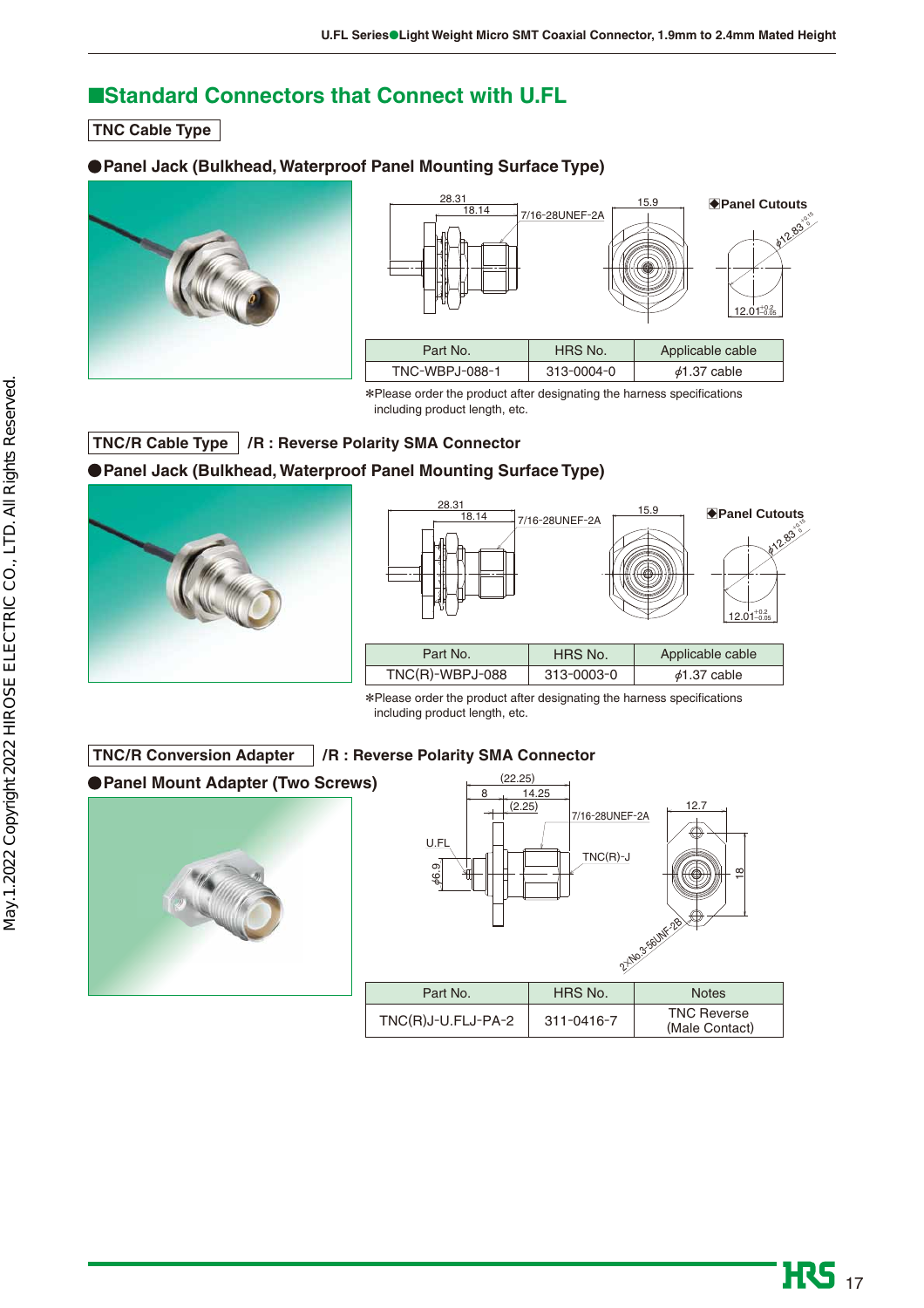## ■**Standard Connectors that Connect with U.FL**

**TNC Cable Type** 

### **Panel Jack (Bulkhead, Waterproof Panel Mounting Surface Type)**





\*Please order the product after designating the harness specifications including product length, etc.

## **TNC/R Cable Type /R : Reverse Polarity SMA Connector**

## **Panel Jack (Bulkhead, Waterproof Panel Mounting Surface Type)**





\*Please order the product after designating the harness specifications including product length, etc.

#### **TNC/R Conversion Adapter /R : Reverse Polarity SMA Connector**

**Panel Mount Adapter (Two Screws)**



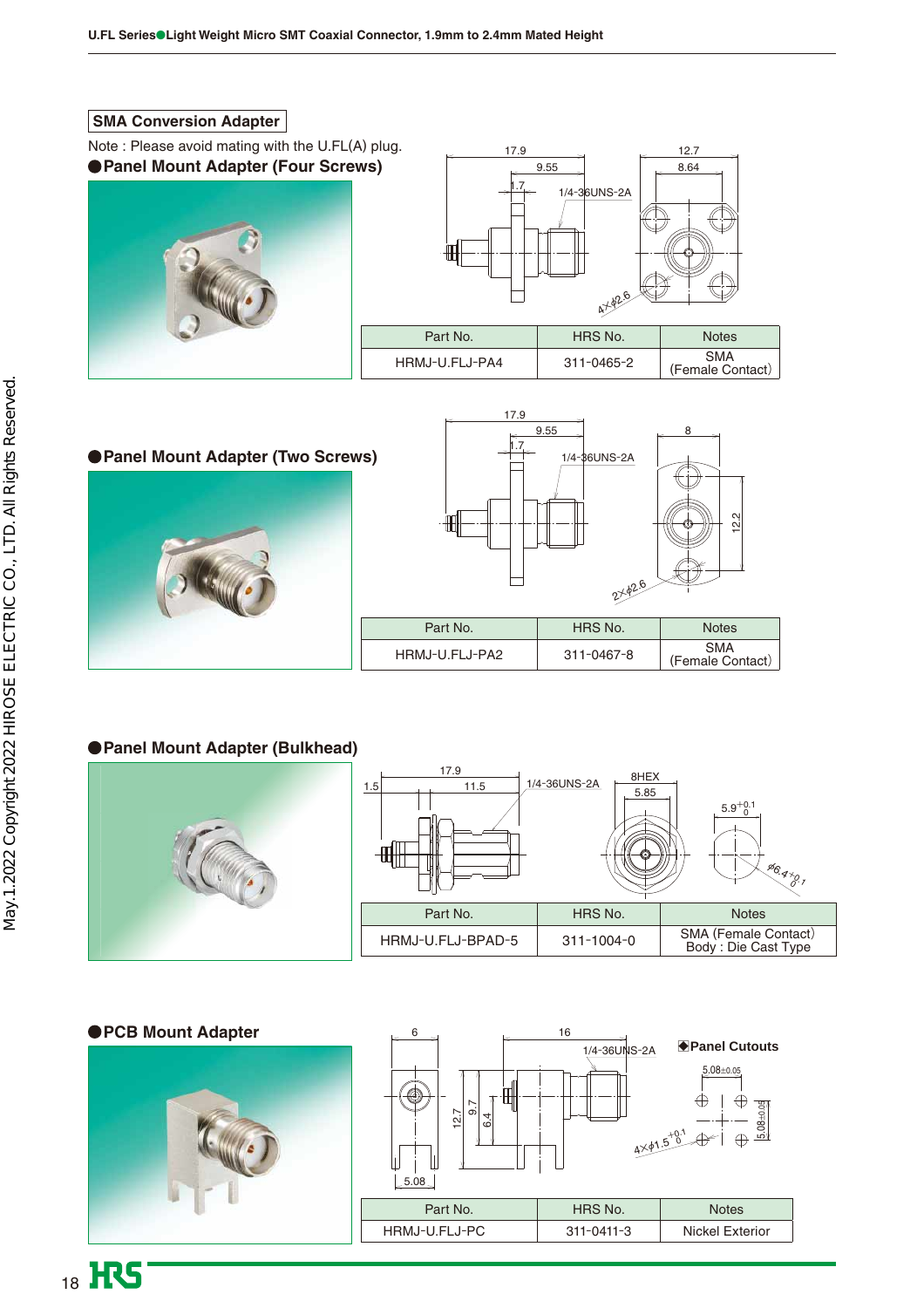#### **SMA Conversion Adapter**

**Panel Mount Adapter (Four Screws)** Note : Please avoid mating with the U.FL(A) plug.





**Panel Mount Adapter (Two Screws)**



(Female Contact)

## **Panel Mount Adapter (Bulkhead)**



### **PCB Mount Adapter**



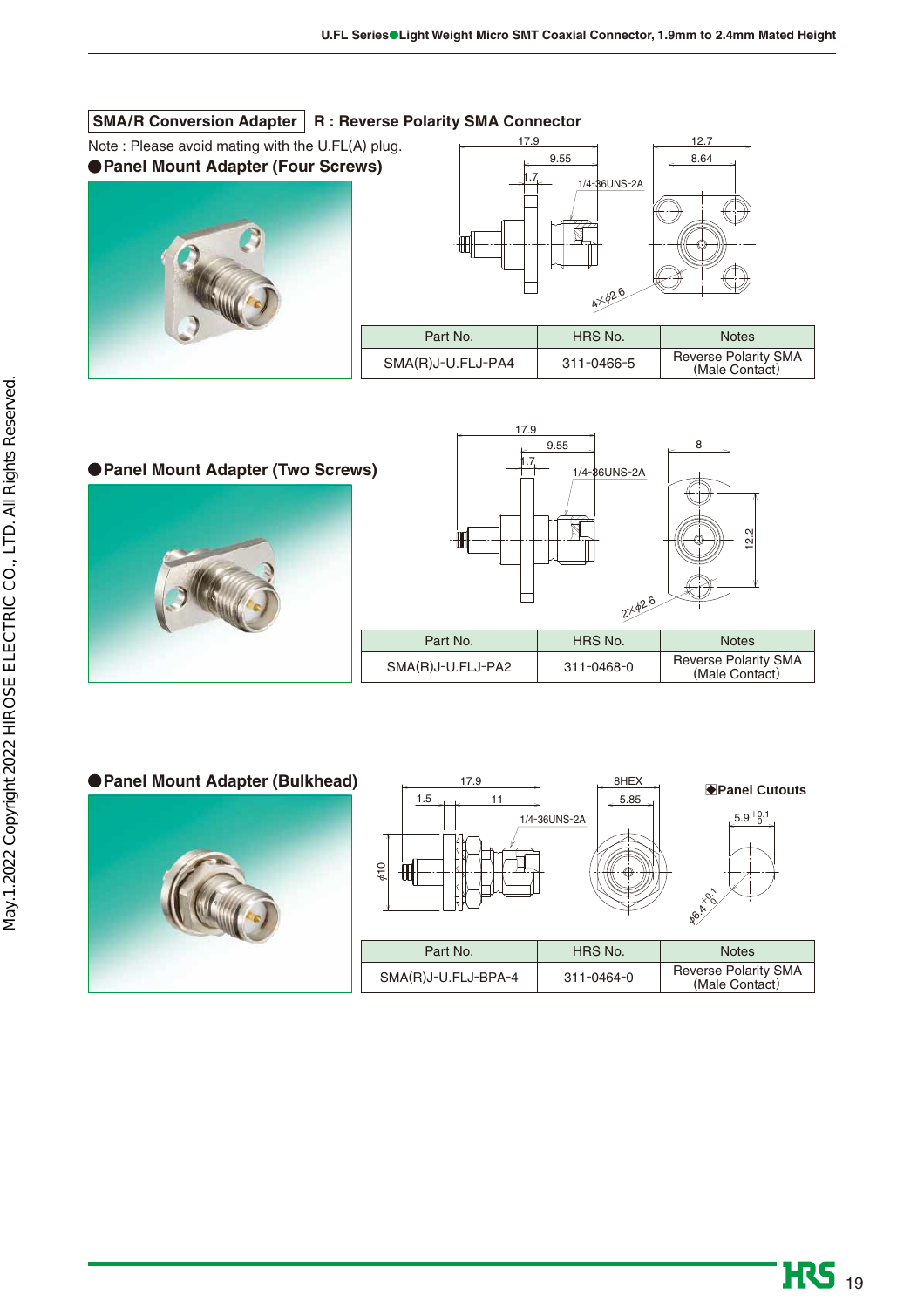### **SMA/R Conversion Adapter R : Reverse Polarity SMA Connector**

 $\overline{\phantom{a}}$ 

**Panel Mount Adapter (Four Screws)** Note : Please avoid mating with the U.FL(A) plug.





| Part No.          | HRS No.    | <b>Notes</b>                           |
|-------------------|------------|----------------------------------------|
| SMA(R)J-U.FLJ-PA4 | 311-0466-5 | Reverse Polarity SMA<br>(Male Contact) |

17.9

8 9.55 **Panel Mount Adapter (Two Screws)** 1.7 1/4-36UNS-2A 12.2 佃 2<del>×</del>02.6 Part No. | HRS No. | Notes SMA(R)J-U.FLJ-PA2 311-0468-0 Reverse Polarity SMA (Male Contact)